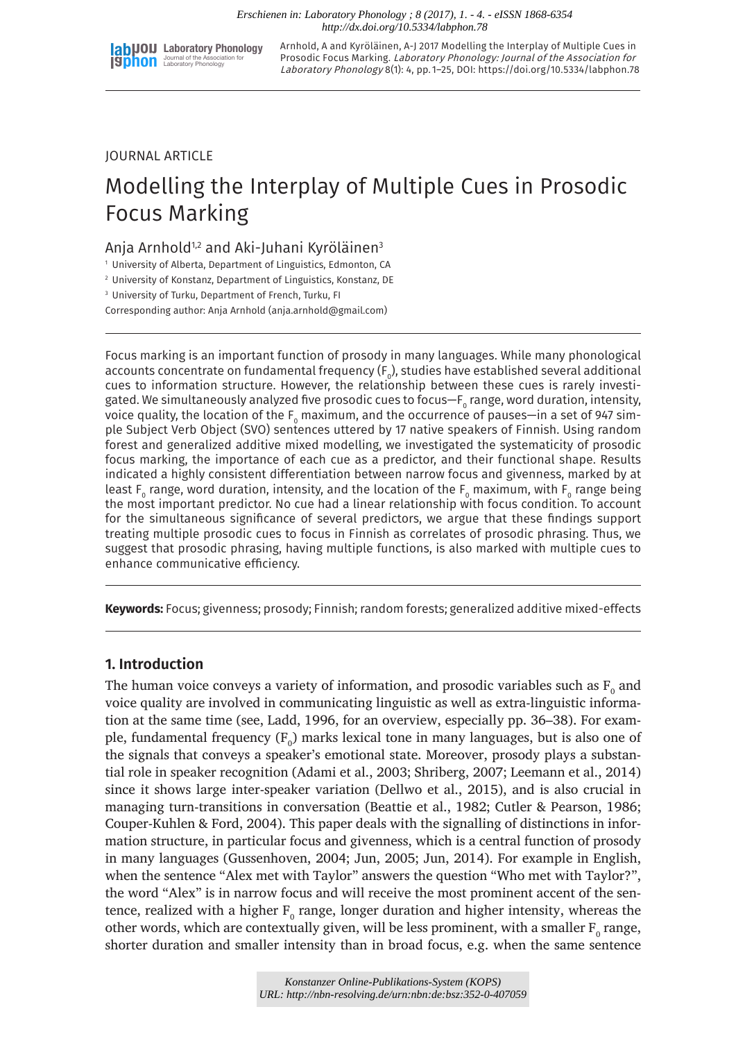

Arnhold, A and Kyröläinen, A-J 2017 Modelling the Interplay of Multiple Cues in Prosodic Focus Marking. Laboratory Phonology: Journal of the Association for Laboratory Phonology 8(1): 4, pp. 1–25, DOI: <https://doi.org/10.5334/labphon.78>

# JOURNAL ARTICLE

# Modelling the Interplay of Multiple Cues in Prosodic Focus Marking

# Anja Arnhold<sup>1,2</sup> and Aki-Juhani Kyröläinen<sup>3</sup>

<sup>1</sup> University of Alberta, Department of Linguistics, Edmonton, CA

<sup>2</sup> University of Konstanz, Department of Linguistics, Konstanz, DE

<sup>3</sup> University of Turku, Department of French, Turku, FI

Corresponding author: Anja Arnhold ([anja.arnhold@gmail.com\)](mailto:anja.arnhold@gmail.com)

Focus marking is an important function of prosody in many languages. While many phonological accounts concentrate on fundamental frequency ( $\mathsf{F}_{{}_0}$ ), studies have established several additional cues to information structure. However, the relationship between these cues is rarely investigated. We simultaneously analyzed five prosodic cues to focus—F $_{\tiny 0}$  range, word duration, intensity, voice quality, the location of the  $\mathsf{F}_{\mathsf{o}}$  maximum, and the occurrence of pauses—in a set of 947 simple Subject Verb Object (SVO) sentences uttered by 17 native speakers of Finnish. Using random forest and generalized additive mixed modelling, we investigated the systematicity of prosodic focus marking, the importance of each cue as a predictor, and their functional shape. Results indicated a highly consistent differentiation between narrow focus and givenness, marked by at least F $_{\rm o}$  range, word duration, intensity, and the location of the F $_{\rm o}$  maximum, with F $_{\rm o}$  range being the most important predictor. No cue had a linear relationship with focus condition. To account for the simultaneous significance of several predictors, we argue that these findings support treating multiple prosodic cues to focus in Finnish as correlates of prosodic phrasing. Thus, we suggest that prosodic phrasing, having multiple functions, is also marked with multiple cues to enhance communicative efficiency.

**Keywords:** Focus; givenness; prosody; Finnish; random forests; generalized additive mixed-effects

# **1. Introduction**

The human voice conveys a variety of information, and prosodic variables such as  $\mathrm{F_{o}}$  and voice quality are involved in communicating linguistic as well as extra-linguistic information at the same time (see, Ladd, 1996, for an overview, especially pp. 36–38). For example, fundamental frequency ( $F_o$ ) marks lexical tone in many languages, but is also one of the signals that conveys a speaker's emotional state. Moreover, prosody plays a substantial role in speaker recognition (Adami et al., 2003; Shriberg, 2007; Leemann et al., 2014) since it shows large inter-speaker variation (Dellwo et al., 2015), and is also crucial in managing turn-transitions in conversation (Beattie et al., 1982; Cutler & Pearson, 1986; Couper-Kuhlen & Ford, 2004). This paper deals with the signalling of distinctions in information structure, in particular focus and givenness, which is a central function of prosody in many languages (Gussenhoven, 2004; Jun, 2005; Jun, 2014). For example in English, when the sentence "Alex met with Taylor" answers the question "Who met with Taylor?", the word "Alex" is in narrow focus and will receive the most prominent accent of the sentence, realized with a higher  $\text{F}_{\text{o}}$  range, longer duration and higher intensity, whereas the other words, which are contextually given, will be less prominent, with a smaller  $\mathrm{F_{o}}$  range, shorter duration and smaller intensity than in broad focus, e.g. when the same sentence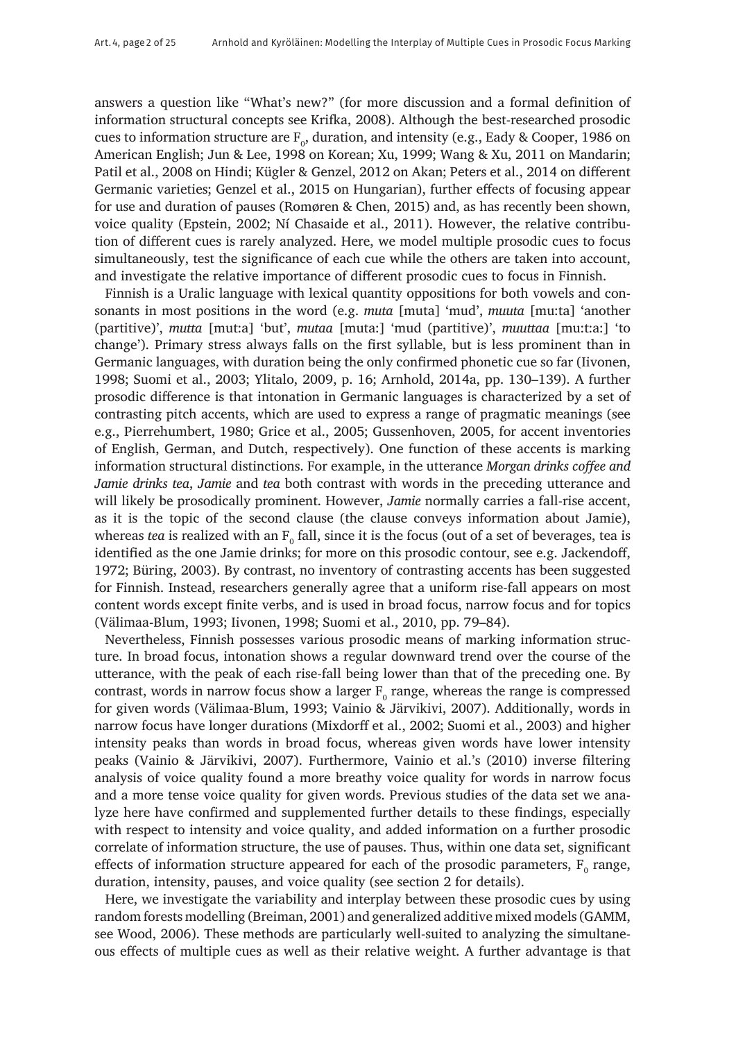answers a question like "What's new?" (for more discussion and a formal definition of information structural concepts see Krifka, 2008). Although the best-researched prosodic cues to information structure are  $\mathrm{F_o}$ , duration, and intensity (e.g., Eady & Cooper, 1986 on American English; Jun & Lee, 1998 on Korean; Xu, 1999; Wang & Xu, 2011 on Mandarin; Patil et al., 2008 on Hindi; Kügler & Genzel, 2012 on Akan; Peters et al., 2014 on different Germanic varieties; Genzel et al., 2015 on Hungarian), further effects of focusing appear for use and duration of pauses (Romøren & Chen, 2015) and, as has recently been shown, voice quality (Epstein, 2002; Ní Chasaide et al., 2011). However, the relative contribution of different cues is rarely analyzed. Here, we model multiple prosodic cues to focus simultaneously, test the significance of each cue while the others are taken into account, and investigate the relative importance of different prosodic cues to focus in Finnish.

Finnish is a Uralic language with lexical quantity oppositions for both vowels and consonants in most positions in the word (e.g. *muta* [muta] 'mud', *muuta* [mu:ta] 'another (partitive)', *mutta* [mut:a] 'but', *mutaa* [muta:] 'mud (partitive)', *muuttaa* [mu:t:a:] 'to change'). Primary stress always falls on the first syllable, but is less prominent than in Germanic languages, with duration being the only confirmed phonetic cue so far (Iivonen, 1998; Suomi et al., 2003; Ylitalo, 2009, p. 16; Arnhold, 2014a, pp. 130–139). A further prosodic difference is that intonation in Germanic languages is characterized by a set of contrasting pitch accents, which are used to express a range of pragmatic meanings (see e.g., Pierrehumbert, 1980; Grice et al., 2005; Gussenhoven, 2005, for accent inventories of English, German, and Dutch, respectively). One function of these accents is marking information structural distinctions. For example, in the utterance *Morgan drinks coffee and Jamie drinks tea*, *Jamie* and *tea* both contrast with words in the preceding utterance and will likely be prosodically prominent. However, *Jamie* normally carries a fall-rise accent, as it is the topic of the second clause (the clause conveys information about Jamie), whereas *tea* is realized with an  $\mathrm{F_{o}}$  fall, since it is the focus (out of a set of beverages, tea is identified as the one Jamie drinks; for more on this prosodic contour, see e.g. Jackendoff, 1972; Büring, 2003). By contrast, no inventory of contrasting accents has been suggested for Finnish. Instead, researchers generally agree that a uniform rise-fall appears on most content words except finite verbs, and is used in broad focus, narrow focus and for topics (Välimaa-Blum, 1993; Iivonen, 1998; Suomi et al., 2010, pp. 79–84).

Nevertheless, Finnish possesses various prosodic means of marking information structure. In broad focus, intonation shows a regular downward trend over the course of the utterance, with the peak of each rise-fall being lower than that of the preceding one. By contrast, words in narrow focus show a larger  $F_{0}$  range, whereas the range is compressed for given words (Välimaa-Blum, 1993; Vainio & Järvikivi, 2007). Additionally, words in narrow focus have longer durations (Mixdorff et al., 2002; Suomi et al., 2003) and higher intensity peaks than words in broad focus, whereas given words have lower intensity peaks (Vainio & Järvikivi, 2007). Furthermore, Vainio et al.'s (2010) inverse filtering analysis of voice quality found a more breathy voice quality for words in narrow focus and a more tense voice quality for given words. Previous studies of the data set we analyze here have confirmed and supplemented further details to these findings, especially with respect to intensity and voice quality, and added information on a further prosodic correlate of information structure, the use of pauses. Thus, within one data set, significant effects of information structure appeared for each of the prosodic parameters,  $F_0$  range, duration, intensity, pauses, and voice quality (see section 2 for details).

Here, we investigate the variability and interplay between these prosodic cues by using random forests modelling (Breiman, 2001) and generalized additive mixed models (GAMM, see Wood, 2006). These methods are particularly well-suited to analyzing the simultaneous effects of multiple cues as well as their relative weight. A further advantage is that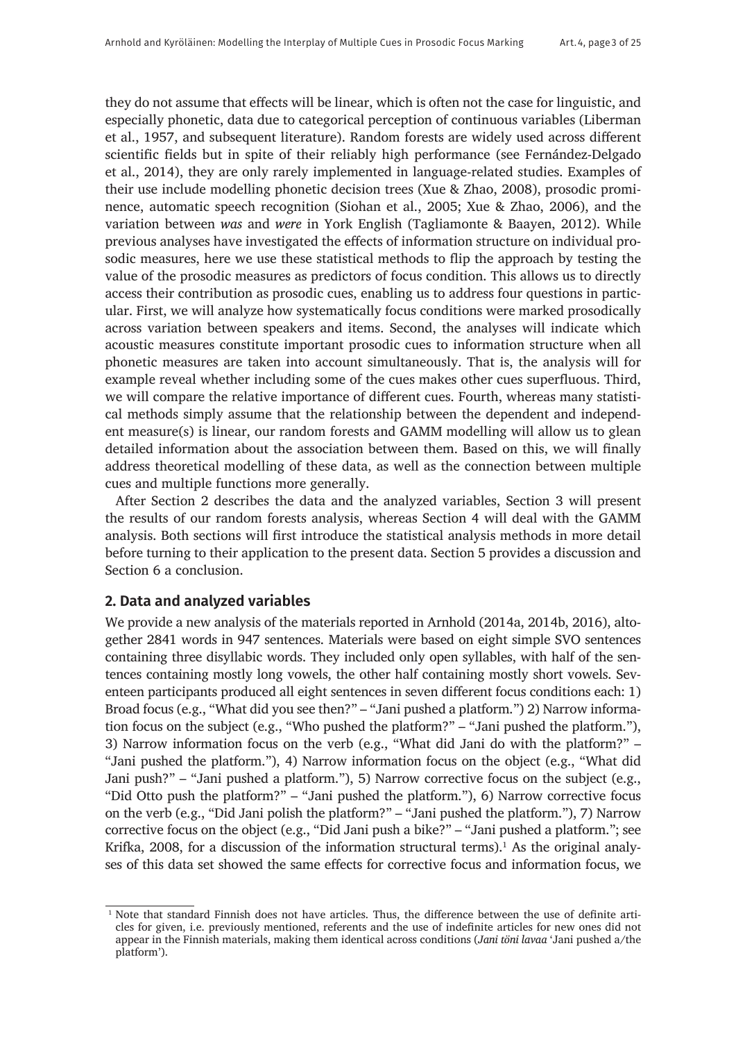they do not assume that effects will be linear, which is often not the case for linguistic, and especially phonetic, data due to categorical perception of continuous variables (Liberman et al., 1957, and subsequent literature). Random forests are widely used across different scientific fields but in spite of their reliably high performance (see Fernández-Delgado et al., 2014), they are only rarely implemented in language-related studies. Examples of their use include modelling phonetic decision trees (Xue & Zhao, 2008), prosodic prominence, automatic speech recognition (Siohan et al., 2005; Xue & Zhao, 2006), and the variation between *was* and *were* in York English (Tagliamonte & Baayen, 2012). While previous analyses have investigated the effects of information structure on individual prosodic measures, here we use these statistical methods to flip the approach by testing the value of the prosodic measures as predictors of focus condition. This allows us to directly access their contribution as prosodic cues, enabling us to address four questions in particular. First, we will analyze how systematically focus conditions were marked prosodically across variation between speakers and items. Second, the analyses will indicate which acoustic measures constitute important prosodic cues to information structure when all phonetic measures are taken into account simultaneously. That is, the analysis will for example reveal whether including some of the cues makes other cues superfluous. Third, we will compare the relative importance of different cues. Fourth, whereas many statistical methods simply assume that the relationship between the dependent and independent measure(s) is linear, our random forests and GAMM modelling will allow us to glean detailed information about the association between them. Based on this, we will finally address theoretical modelling of these data, as well as the connection between multiple cues and multiple functions more generally.

After Section 2 describes the data and the analyzed variables, Section 3 will present the results of our random forests analysis, whereas Section 4 will deal with the GAMM analysis. Both sections will first introduce the statistical analysis methods in more detail before turning to their application to the present data. Section 5 provides a discussion and Section 6 a conclusion.

## **2. Data and analyzed variables**

We provide a new analysis of the materials reported in Arnhold (2014a, 2014b, 2016), altogether 2841 words in 947 sentences. Materials were based on eight simple SVO sentences containing three disyllabic words. They included only open syllables, with half of the sentences containing mostly long vowels, the other half containing mostly short vowels. Seventeen participants produced all eight sentences in seven different focus conditions each: 1) Broad focus (e.g., "What did you see then?" – "Jani pushed a platform.") 2) Narrow information focus on the subject (e.g., "Who pushed the platform?" – "Jani pushed the platform."), 3) Narrow information focus on the verb (e.g., "What did Jani do with the platform?" – "Jani pushed the platform."), 4) Narrow information focus on the object (e.g., "What did Jani push?" – "Jani pushed a platform."), 5) Narrow corrective focus on the subject (e.g., "Did Otto push the platform?" – "Jani pushed the platform."), 6) Narrow corrective focus on the verb (e.g., "Did Jani polish the platform?" – "Jani pushed the platform."), 7) Narrow corrective focus on the object (e.g., "Did Jani push a bike?" – "Jani pushed a platform."; see Krifka, 2008, for a discussion of the information structural terms). $^1$  As the original analyses of this data set showed the same effects for corrective focus and information focus, we

<sup>&</sup>lt;sup>1</sup> Note that standard Finnish does not have articles. Thus, the difference between the use of definite articles for given, i.e. previously mentioned, referents and the use of indefinite articles for new ones did not appear in the Finnish materials, making them identical across conditions (*Jani töni lavaa* 'Jani pushed a/the platform').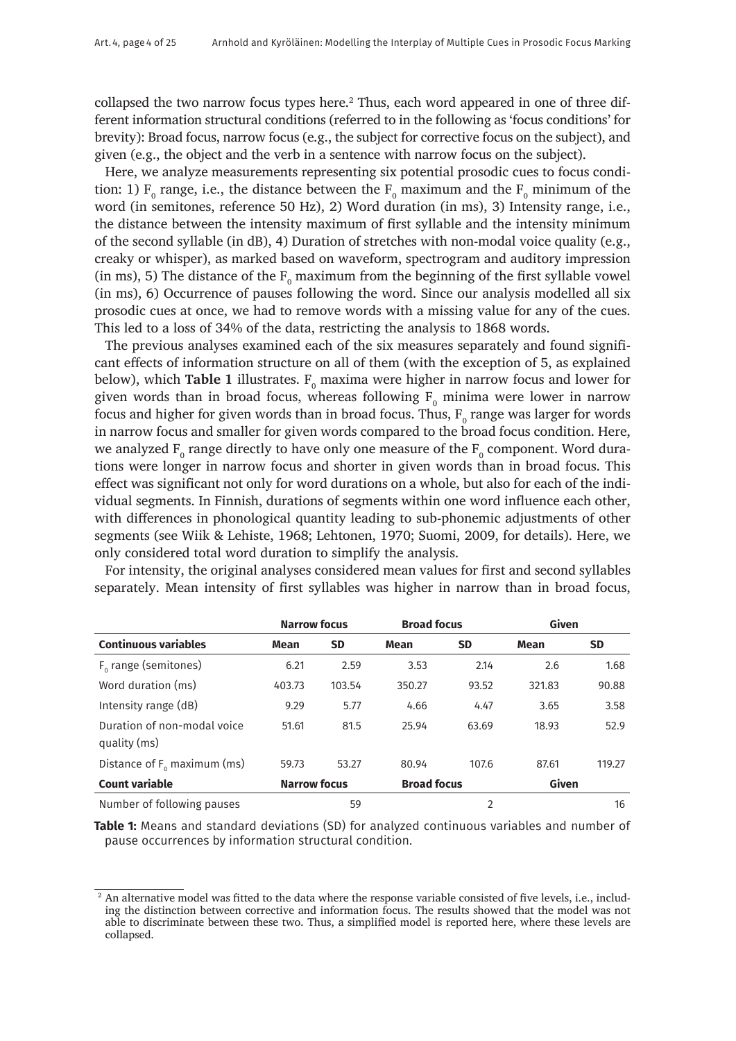collapsed the two narrow focus types here. $2$  Thus, each word appeared in one of three different information structural conditions (referred to in the following as 'focus conditions' for brevity): Broad focus, narrow focus (e.g., the subject for corrective focus on the subject), and given (e.g., the object and the verb in a sentence with narrow focus on the subject).

Here, we analyze measurements representing six potential prosodic cues to focus condition: 1)  $F_0$  range, i.e., the distance between the  $F_0$  maximum and the  $F_0$  minimum of the word (in semitones, reference 50 Hz), 2) Word duration (in ms), 3) Intensity range, i.e., the distance between the intensity maximum of first syllable and the intensity minimum of the second syllable (in dB), 4) Duration of stretches with non-modal voice quality (e.g., creaky or whisper), as marked based on waveform, spectrogram and auditory impression (in ms), 5) The distance of the  $F_0$  maximum from the beginning of the first syllable vowel (in ms), 6) Occurrence of pauses following the word. Since our analysis modelled all six prosodic cues at once, we had to remove words with a missing value for any of the cues. This led to a loss of 34% of the data, restricting the analysis to 1868 words.

The previous analyses examined each of the six measures separately and found significant effects of information structure on all of them (with the exception of 5, as explained below), which **Table 1** illustrates.  $F_{0}$  maxima were higher in narrow focus and lower for given words than in broad focus, whereas following  $\mathrm{F_{o}}$  minima were lower in narrow focus and higher for given words than in broad focus. Thus,  $\mathrm{F_{o}}$  range was larger for words in narrow focus and smaller for given words compared to the broad focus condition. Here, we analyzed  $\rm F_o$  range directly to have only one measure of the  $\rm F_o$  component. Word durations were longer in narrow focus and shorter in given words than in broad focus. This effect was significant not only for word durations on a whole, but also for each of the individual segments. In Finnish, durations of segments within one word influence each other, with differences in phonological quantity leading to sub-phonemic adjustments of other segments (see Wiik & Lehiste, 1968; Lehtonen, 1970; Suomi, 2009, for details). Here, we only considered total word duration to simplify the analysis.

|                                             | <b>Narrow focus</b> |           | <b>Broad focus</b> |                | Given  |           |
|---------------------------------------------|---------------------|-----------|--------------------|----------------|--------|-----------|
| <b>Continuous variables</b>                 | Mean                | <b>SD</b> | Mean               | <b>SD</b>      | Mean   | <b>SD</b> |
| $F_0$ range (semitones)                     | 6.21                | 2.59      | 3.53               | 2.14           | 2.6    | 1.68      |
| Word duration (ms)                          | 403.73              | 103.54    | 350.27             | 93.52          | 321.83 | 90.88     |
| Intensity range (dB)                        | 9.29                | 5.77      | 4.66               | 4.47           | 3.65   | 3.58      |
| Duration of non-modal voice<br>quality (ms) | 51.61               | 81.5      | 25.94              | 63.69          | 18.93  | 52.9      |
| Distance of $F_0$ maximum (ms)              | 59.73               | 53.27     | 80.94              | 107.6          | 87.61  | 119.27    |
| <b>Count variable</b>                       | <b>Narrow focus</b> |           | <b>Broad focus</b> |                | Given  |           |
| Number of following pauses                  |                     | 59        |                    | $\mathfrak{p}$ |        | 16        |

For intensity, the original analyses considered mean values for first and second syllables separately. Mean intensity of first syllables was higher in narrow than in broad focus,

**Table 1:** Means and standard deviations (SD) for analyzed continuous variables and number of pause occurrences by information structural condition.

<sup>&</sup>lt;sup>2</sup> An alternative model was fitted to the data where the response variable consisted of five levels, i.e., including the distinction between corrective and information focus. The results showed that the model was not able to discriminate between these two. Thus, a simplified model is reported here, where these levels are collapsed.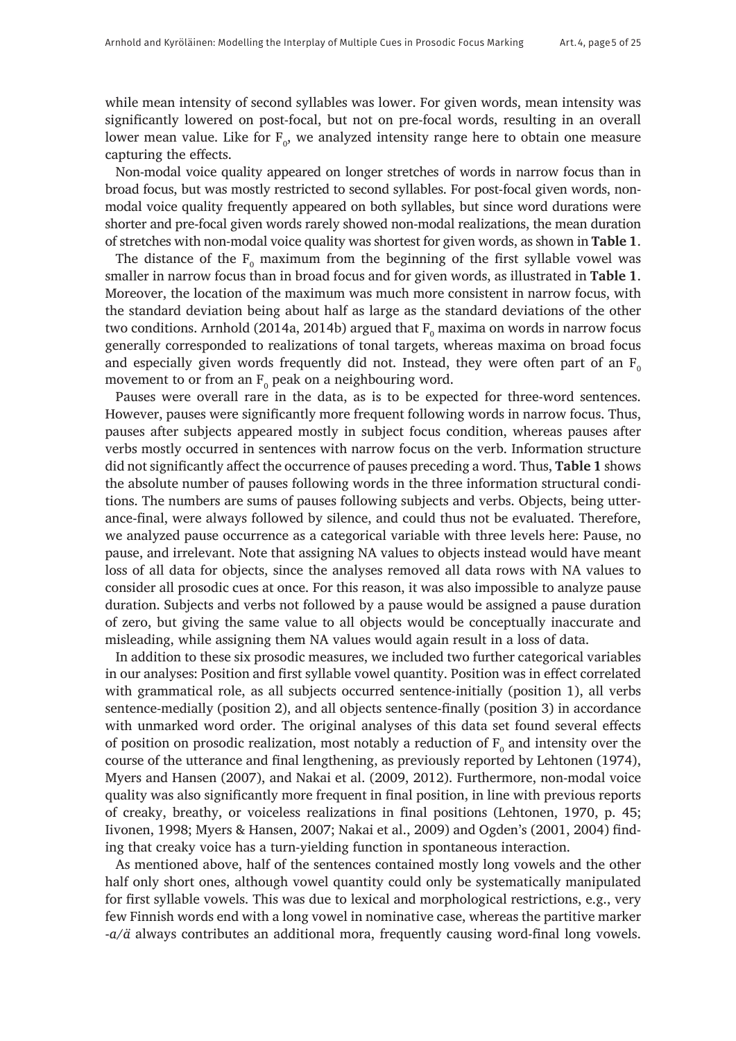while mean intensity of second syllables was lower. For given words, mean intensity was significantly lowered on post-focal, but not on pre-focal words, resulting in an overall lower mean value. Like for  $\text{F}_{\text{o}}$ , we analyzed intensity range here to obtain one measure capturing the effects.

Non-modal voice quality appeared on longer stretches of words in narrow focus than in broad focus, but was mostly restricted to second syllables. For post-focal given words, nonmodal voice quality frequently appeared on both syllables, but since word durations were shorter and pre-focal given words rarely showed non-modal realizations, the mean duration of stretches with non-modal voice quality was shortest for given words, as shown in **Table 1**.

The distance of the  $F_{0}$  maximum from the beginning of the first syllable vowel was smaller in narrow focus than in broad focus and for given words, as illustrated in **Table 1**. Moreover, the location of the maximum was much more consistent in narrow focus, with the standard deviation being about half as large as the standard deviations of the other two conditions. Arnhold (2014a, 2014b) argued that  $\mathrm{F_{o}}$  maxima on words in narrow focus generally corresponded to realizations of tonal targets, whereas maxima on broad focus and especially given words frequently did not. Instead, they were often part of an  $F_0$ movement to or from an  $\text{F}_{\text{o}}$  peak on a neighbouring word.

Pauses were overall rare in the data, as is to be expected for three-word sentences. However, pauses were significantly more frequent following words in narrow focus. Thus, pauses after subjects appeared mostly in subject focus condition, whereas pauses after verbs mostly occurred in sentences with narrow focus on the verb. Information structure did not significantly affect the occurrence of pauses preceding a word. Thus, **Table 1** shows the absolute number of pauses following words in the three information structural conditions. The numbers are sums of pauses following subjects and verbs. Objects, being utterance-final, were always followed by silence, and could thus not be evaluated. Therefore, we analyzed pause occurrence as a categorical variable with three levels here: Pause, no pause, and irrelevant. Note that assigning NA values to objects instead would have meant loss of all data for objects, since the analyses removed all data rows with NA values to consider all prosodic cues at once. For this reason, it was also impossible to analyze pause duration. Subjects and verbs not followed by a pause would be assigned a pause duration of zero, but giving the same value to all objects would be conceptually inaccurate and misleading, while assigning them NA values would again result in a loss of data.

In addition to these six prosodic measures, we included two further categorical variables in our analyses: Position and first syllable vowel quantity. Position was in effect correlated with grammatical role, as all subjects occurred sentence-initially (position 1), all verbs sentence-medially (position 2), and all objects sentence-finally (position 3) in accordance with unmarked word order. The original analyses of this data set found several effects of position on prosodic realization, most notably a reduction of  $F_{0}$  and intensity over the course of the utterance and final lengthening, as previously reported by Lehtonen (1974), Myers and Hansen (2007), and Nakai et al. (2009, 2012). Furthermore, non-modal voice quality was also significantly more frequent in final position, in line with previous reports of creaky, breathy, or voiceless realizations in final positions (Lehtonen, 1970, p. 45; Iivonen, 1998; Myers & Hansen, 2007; Nakai et al., 2009) and Ogden's (2001, 2004) finding that creaky voice has a turn-yielding function in spontaneous interaction.

As mentioned above, half of the sentences contained mostly long vowels and the other half only short ones, although vowel quantity could only be systematically manipulated for first syllable vowels. This was due to lexical and morphological restrictions, e.g., very few Finnish words end with a long vowel in nominative case, whereas the partitive marker -*a/ä* always contributes an additional mora, frequently causing word-final long vowels.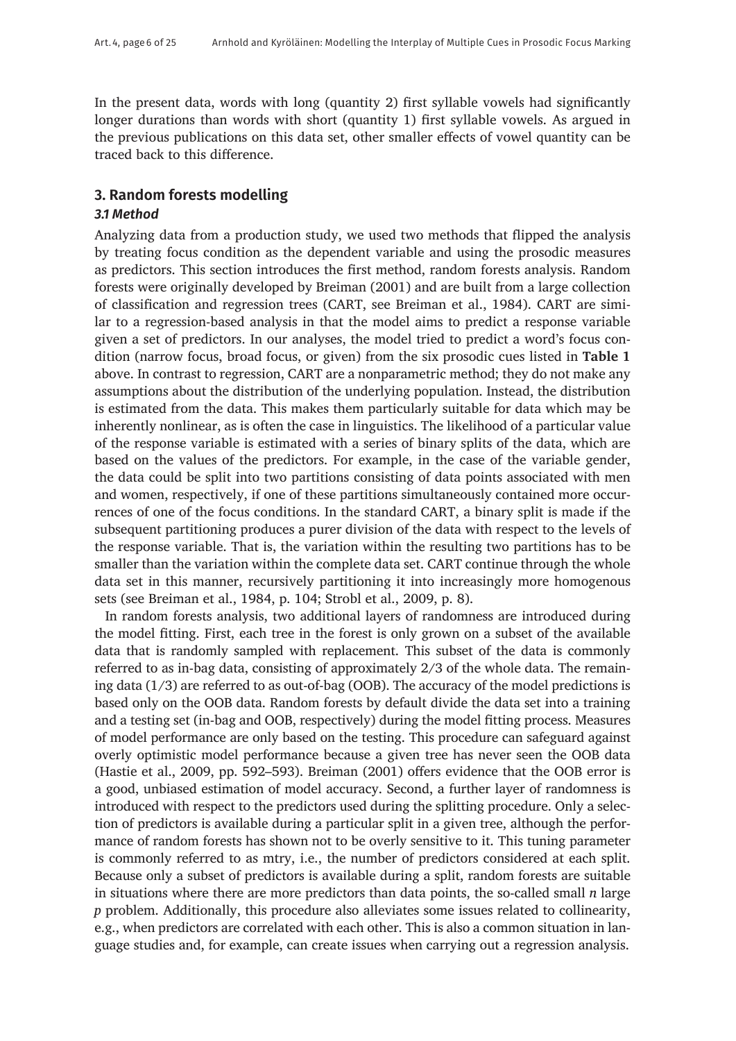In the present data, words with long (quantity 2) first syllable vowels had significantly longer durations than words with short (quantity 1) first syllable vowels. As argued in the previous publications on this data set, other smaller effects of vowel quantity can be traced back to this difference.

# **3. Random forests modelling**

# *3.1 Method*

Analyzing data from a production study, we used two methods that flipped the analysis by treating focus condition as the dependent variable and using the prosodic measures as predictors. This section introduces the first method, random forests analysis. Random forests were originally developed by Breiman (2001) and are built from a large collection of classification and regression trees (CART, see Breiman et al., 1984). CART are similar to a regression-based analysis in that the model aims to predict a response variable given a set of predictors. In our analyses, the model tried to predict a word's focus condition (narrow focus, broad focus, or given) from the six prosodic cues listed in **Table 1** above. In contrast to regression, CART are a nonparametric method; they do not make any assumptions about the distribution of the underlying population. Instead, the distribution is estimated from the data. This makes them particularly suitable for data which may be inherently nonlinear, as is often the case in linguistics. The likelihood of a particular value of the response variable is estimated with a series of binary splits of the data, which are based on the values of the predictors. For example, in the case of the variable gender, the data could be split into two partitions consisting of data points associated with men and women, respectively, if one of these partitions simultaneously contained more occurrences of one of the focus conditions. In the standard CART, a binary split is made if the subsequent partitioning produces a purer division of the data with respect to the levels of the response variable. That is, the variation within the resulting two partitions has to be smaller than the variation within the complete data set. CART continue through the whole data set in this manner, recursively partitioning it into increasingly more homogenous sets (see Breiman et al., 1984, p. 104; Strobl et al., 2009, p. 8).

In random forests analysis, two additional layers of randomness are introduced during the model fitting. First, each tree in the forest is only grown on a subset of the available data that is randomly sampled with replacement. This subset of the data is commonly referred to as in-bag data, consisting of approximately 2/3 of the whole data. The remaining data (1/3) are referred to as out-of-bag (OOB). The accuracy of the model predictions is based only on the OOB data. Random forests by default divide the data set into a training and a testing set (in-bag and OOB, respectively) during the model fitting process. Measures of model performance are only based on the testing. This procedure can safeguard against overly optimistic model performance because a given tree has never seen the OOB data (Hastie et al., 2009, pp. 592–593). Breiman (2001) offers evidence that the OOB error is a good, unbiased estimation of model accuracy. Second, a further layer of randomness is introduced with respect to the predictors used during the splitting procedure. Only a selection of predictors is available during a particular split in a given tree, although the performance of random forests has shown not to be overly sensitive to it. This tuning parameter is commonly referred to as mtry, i.e., the number of predictors considered at each split. Because only a subset of predictors is available during a split, random forests are suitable in situations where there are more predictors than data points, the so-called small *n* large *p* problem. Additionally, this procedure also alleviates some issues related to collinearity, e.g., when predictors are correlated with each other. This is also a common situation in language studies and, for example, can create issues when carrying out a regression analysis.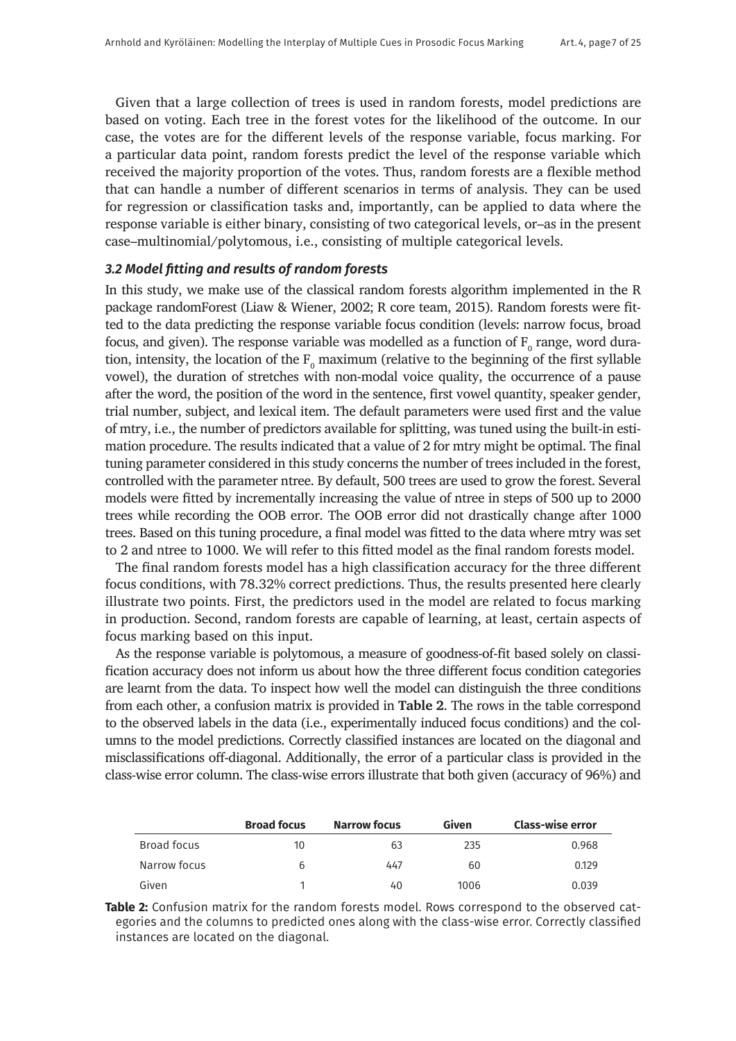Given that a large collection of trees is used in random forests, model predictions are based on voting. Each tree in the forest votes for the likelihood of the outcome. In our case, the votes are for the different levels of the response variable, focus marking. For a particular data point, random forests predict the level of the response variable which received the majority proportion of the votes. Thus, random forests are a flexible method that can handle a number of different scenarios in terms of analysis. They can be used for regression or classification tasks and, importantly, can be applied to data where the response variable is either binary, consisting of two categorical levels, or–as in the present case–multinomial/polytomous, i.e., consisting of multiple categorical levels.

## *3.2 Model fitting and results of random forests*

In this study, we make use of the classical random forests algorithm implemented in the R package randomForest (Liaw & Wiener, 2002; R core team, 2015). Random forests were fitted to the data predicting the response variable focus condition (levels: narrow focus, broad focus, and given). The response variable was modelled as a function of  $\mathrm{F_{o}}$  range, word duration, intensity, the location of the  $F_0$  maximum (relative to the beginning of the first syllable vowel), the duration of stretches with non-modal voice quality, the occurrence of a pause after the word, the position of the word in the sentence, first vowel quantity, speaker gender, trial number, subject, and lexical item. The default parameters were used first and the value of mtry, i.e., the number of predictors available for splitting, was tuned using the built-in estimation procedure. The results indicated that a value of 2 for mtry might be optimal. The final tuning parameter considered in this study concerns the number of trees included in the forest, controlled with the parameter ntree. By default, 500 trees are used to grow the forest. Several models were fitted by incrementally increasing the value of ntree in steps of 500 up to 2000 trees while recording the OOB error. The OOB error did not drastically change after 1000 trees. Based on this tuning procedure, a final model was fitted to the data where mtry was set to 2 and ntree to 1000. We will refer to this fitted model as the final random forests model.

The final random forests model has a high classification accuracy for the three different focus conditions, with 78.32% correct predictions. Thus, the results presented here clearly illustrate two points. First, the predictors used in the model are related to focus marking in production. Second, random forests are capable of learning, at least, certain aspects of focus marking based on this input.

As the response variable is polytomous, a measure of goodness-of-fit based solely on classification accuracy does not inform us about how the three different focus condition categories are learnt from the data. To inspect how well the model can distinguish the three conditions from each other, a confusion matrix is provided in **Table 2**. The rows in the table correspond to the observed labels in the data (i.e., experimentally induced focus conditions) and the columns to the model predictions. Correctly classified instances are located on the diagonal and misclassifications off-diagonal. Additionally, the error of a particular class is provided in the class-wise error column. The class-wise errors illustrate that both given (accuracy of 96%) and

|              | <b>Broad focus</b> | <b>Narrow focus</b> | Given | <b>Class-wise error</b> |
|--------------|--------------------|---------------------|-------|-------------------------|
| Broad focus  | 10                 | 63                  | 235   | 0.968                   |
| Narrow focus | b                  | 447                 | 60    | 0.129                   |
| Given        |                    | 40                  | 1006  | 0.039                   |

**Table 2:** Confusion matrix for the random forests model. Rows correspond to the observed categories and the columns to predicted ones along with the class-wise error. Correctly classified instances are located on the diagonal.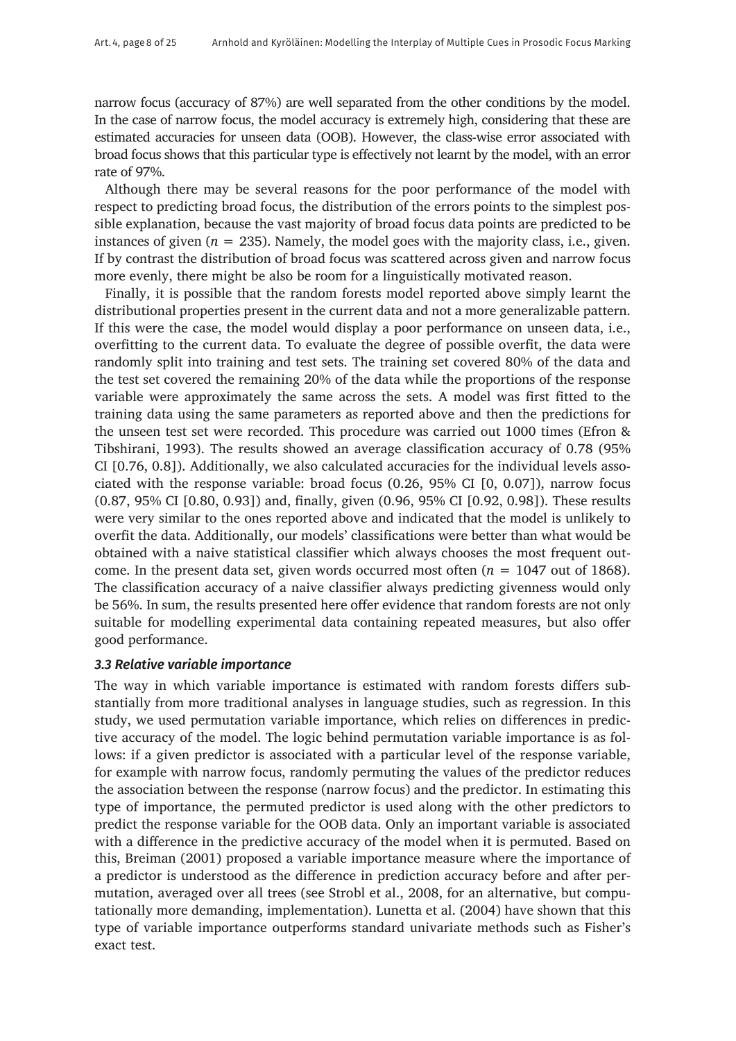narrow focus (accuracy of 87%) are well separated from the other conditions by the model. In the case of narrow focus, the model accuracy is extremely high, considering that these are estimated accuracies for unseen data (OOB). However, the class-wise error associated with broad focus shows that this particular type is effectively not learnt by the model, with an error rate of 97%.

Although there may be several reasons for the poor performance of the model with respect to predicting broad focus, the distribution of the errors points to the simplest possible explanation, because the vast majority of broad focus data points are predicted to be instances of given  $(n = 235)$ . Namely, the model goes with the majority class, i.e., given. If by contrast the distribution of broad focus was scattered across given and narrow focus more evenly, there might be also be room for a linguistically motivated reason.

Finally, it is possible that the random forests model reported above simply learnt the distributional properties present in the current data and not a more generalizable pattern. If this were the case, the model would display a poor performance on unseen data, i.e., overfitting to the current data. To evaluate the degree of possible overfit, the data were randomly split into training and test sets. The training set covered 80% of the data and the test set covered the remaining 20% of the data while the proportions of the response variable were approximately the same across the sets. A model was first fitted to the training data using the same parameters as reported above and then the predictions for the unseen test set were recorded. This procedure was carried out 1000 times (Efron & Tibshirani, 1993). The results showed an average classification accuracy of 0.78 (95% CI [0.76, 0.8]). Additionally, we also calculated accuracies for the individual levels associated with the response variable: broad focus (0.26, 95% CI [0, 0.07]), narrow focus (0.87, 95% CI [0.80, 0.93]) and, finally, given (0.96, 95% CI [0.92, 0.98]). These results were very similar to the ones reported above and indicated that the model is unlikely to overfit the data. Additionally, our models' classifications were better than what would be obtained with a naive statistical classifier which always chooses the most frequent outcome. In the present data set, given words occurred most often  $(n = 1047)$  out of 1868). The classification accuracy of a naive classifier always predicting givenness would only be 56%. In sum, the results presented here offer evidence that random forests are not only suitable for modelling experimental data containing repeated measures, but also offer good performance.

## *3.3 Relative variable importance*

The way in which variable importance is estimated with random forests differs substantially from more traditional analyses in language studies, such as regression. In this study, we used permutation variable importance, which relies on differences in predictive accuracy of the model. The logic behind permutation variable importance is as follows: if a given predictor is associated with a particular level of the response variable, for example with narrow focus, randomly permuting the values of the predictor reduces the association between the response (narrow focus) and the predictor. In estimating this type of importance, the permuted predictor is used along with the other predictors to predict the response variable for the OOB data. Only an important variable is associated with a difference in the predictive accuracy of the model when it is permuted. Based on this, Breiman (2001) proposed a variable importance measure where the importance of a predictor is understood as the difference in prediction accuracy before and after permutation, averaged over all trees (see Strobl et al., 2008, for an alternative, but computationally more demanding, implementation). Lunetta et al. (2004) have shown that this type of variable importance outperforms standard univariate methods such as Fisher's exact test.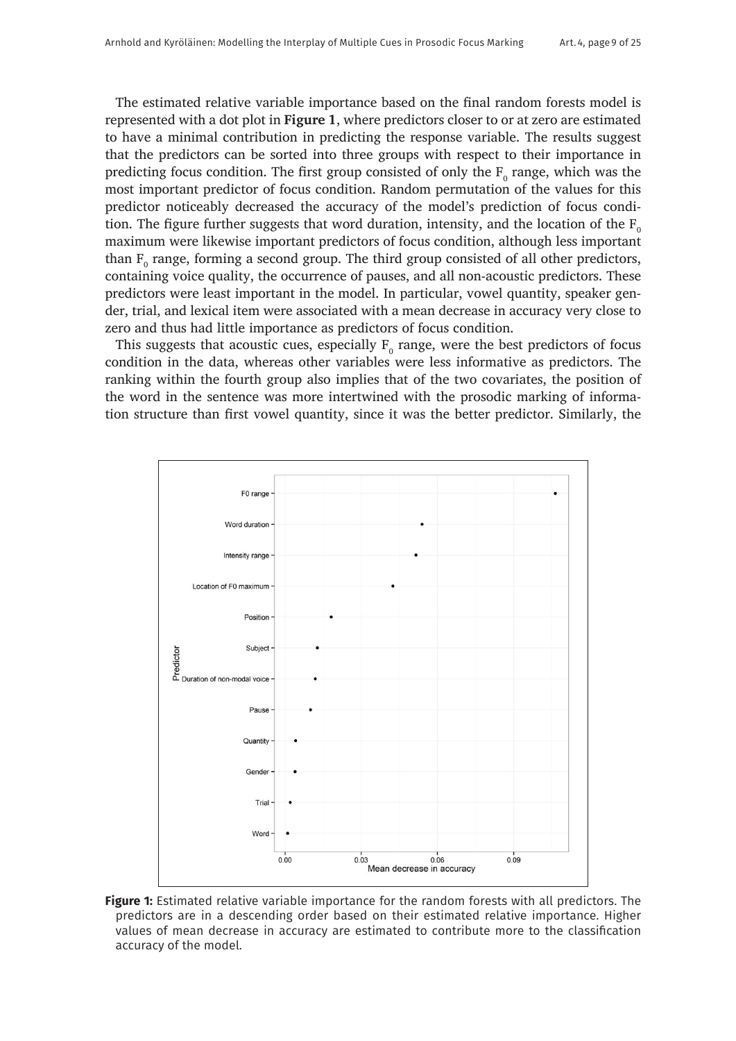The estimated relative variable importance based on the final random forests model is represented with a dot plot in **Figure 1**, where predictors closer to or at zero are estimated to have a minimal contribution in predicting the response variable. The results suggest that the predictors can be sorted into three groups with respect to their importance in predicting focus condition. The first group consisted of only the  $F_{\rm o}$  range, which was the most important predictor of focus condition. Random permutation of the values for this predictor noticeably decreased the accuracy of the model's prediction of focus condition. The figure further suggests that word duration, intensity, and the location of the  $F_0$ maximum were likewise important predictors of focus condition, although less important than  $F_0$  range, forming a second group. The third group consisted of all other predictors, containing voice quality, the occurrence of pauses, and all non-acoustic predictors. These predictors were least important in the model. In particular, vowel quantity, speaker gender, trial, and lexical item were associated with a mean decrease in accuracy very close to zero and thus had little importance as predictors of focus condition.

This suggests that acoustic cues, especially  $F_0$  range, were the best predictors of focus condition in the data, whereas other variables were less informative as predictors. The ranking within the fourth group also implies that of the two covariates, the position of the word in the sentence was more intertwined with the prosodic marking of information structure than first vowel quantity, since it was the better predictor. Similarly, the



**Figure 1:** Estimated relative variable importance for the random forests with all predictors. The predictors are in a descending order based on their estimated relative importance. Higher values of mean decrease in accuracy are estimated to contribute more to the classification accuracy of the model.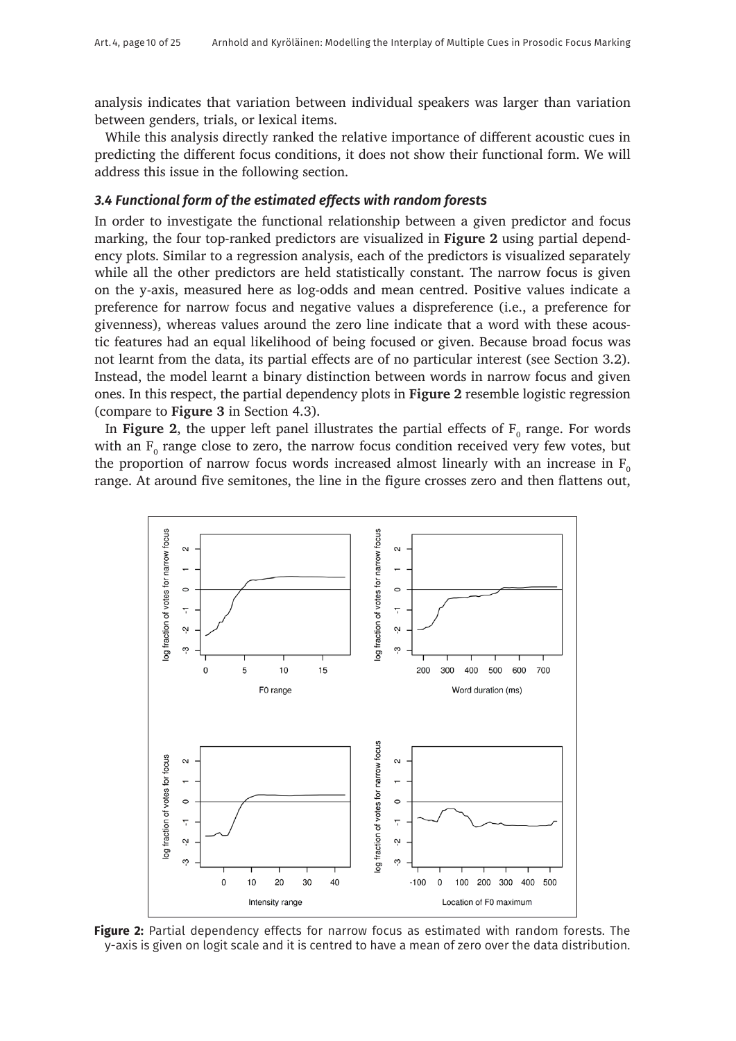analysis indicates that variation between individual speakers was larger than variation between genders, trials, or lexical items.

While this analysis directly ranked the relative importance of different acoustic cues in predicting the different focus conditions, it does not show their functional form. We will address this issue in the following section.

#### *3.4 Functional form of the estimated effects with random forests*

In order to investigate the functional relationship between a given predictor and focus marking, the four top-ranked predictors are visualized in **Figure 2** using partial dependency plots. Similar to a regression analysis, each of the predictors is visualized separately while all the other predictors are held statistically constant. The narrow focus is given on the y-axis, measured here as log-odds and mean centred. Positive values indicate a preference for narrow focus and negative values a dispreference (i.e., a preference for givenness), whereas values around the zero line indicate that a word with these acoustic features had an equal likelihood of being focused or given. Because broad focus was not learnt from the data, its partial effects are of no particular interest (see Section 3.2). Instead, the model learnt a binary distinction between words in narrow focus and given ones. In this respect, the partial dependency plots in **Figure 2** resemble logistic regression (compare to **Figure 3** in Section 4.3).

In **Figure 2**, the upper left panel illustrates the partial effects of  $F_{0}$  range. For words with an  $F_{0}$  range close to zero, the narrow focus condition received very few votes, but the proportion of narrow focus words increased almost linearly with an increase in  $F_0$ range. At around five semitones, the line in the figure crosses zero and then flattens out,



**Figure 2:** Partial dependency effects for narrow focus as estimated with random forests. The y-axis is given on logit scale and it is centred to have a mean of zero over the data distribution.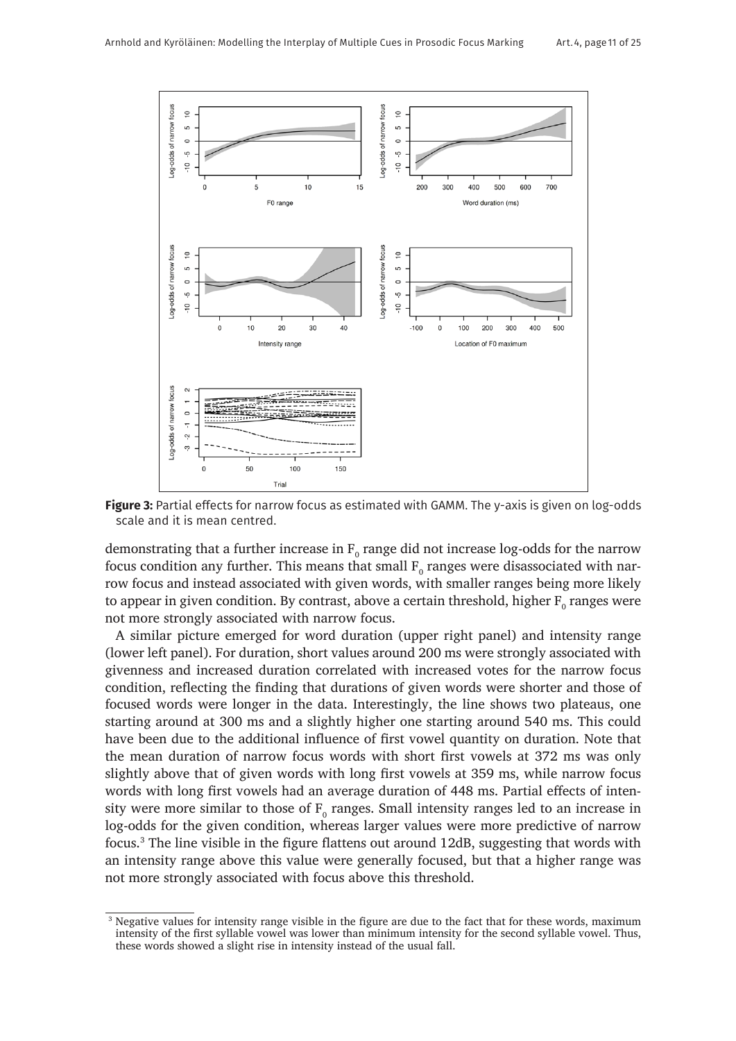

**Figure 3:** Partial effects for narrow focus as estimated with GAMM. The y-axis is given on log-odds scale and it is mean centred.

demonstrating that a further increase in  $\text{F}_{\text{o}}$  range did not increase log-odds for the narrow focus condition any further. This means that small  $\mathrm{F_{o}}$  ranges were disassociated with narrow focus and instead associated with given words, with smaller ranges being more likely to appear in given condition. By contrast, above a certain threshold, higher  $\mathrm{F_{o}}$  ranges were not more strongly associated with narrow focus.

A similar picture emerged for word duration (upper right panel) and intensity range (lower left panel). For duration, short values around 200 ms were strongly associated with givenness and increased duration correlated with increased votes for the narrow focus condition, reflecting the finding that durations of given words were shorter and those of focused words were longer in the data. Interestingly, the line shows two plateaus, one starting around at 300 ms and a slightly higher one starting around 540 ms. This could have been due to the additional influence of first vowel quantity on duration. Note that the mean duration of narrow focus words with short first vowels at 372 ms was only slightly above that of given words with long first vowels at 359 ms, while narrow focus words with long first vowels had an average duration of 448 ms. Partial effects of intensity were more similar to those of  $F_{0}$  ranges. Small intensity ranges led to an increase in log-odds for the given condition, whereas larger values were more predictive of narrow focus.3 The line visible in the figure flattens out around 12dB, suggesting that words with an intensity range above this value were generally focused, but that a higher range was not more strongly associated with focus above this threshold.

<sup>&</sup>lt;sup>3</sup> Negative values for intensity range visible in the figure are due to the fact that for these words, maximum intensity of the first syllable vowel was lower than minimum intensity for the second syllable vowel. Thus, these words showed a slight rise in intensity instead of the usual fall.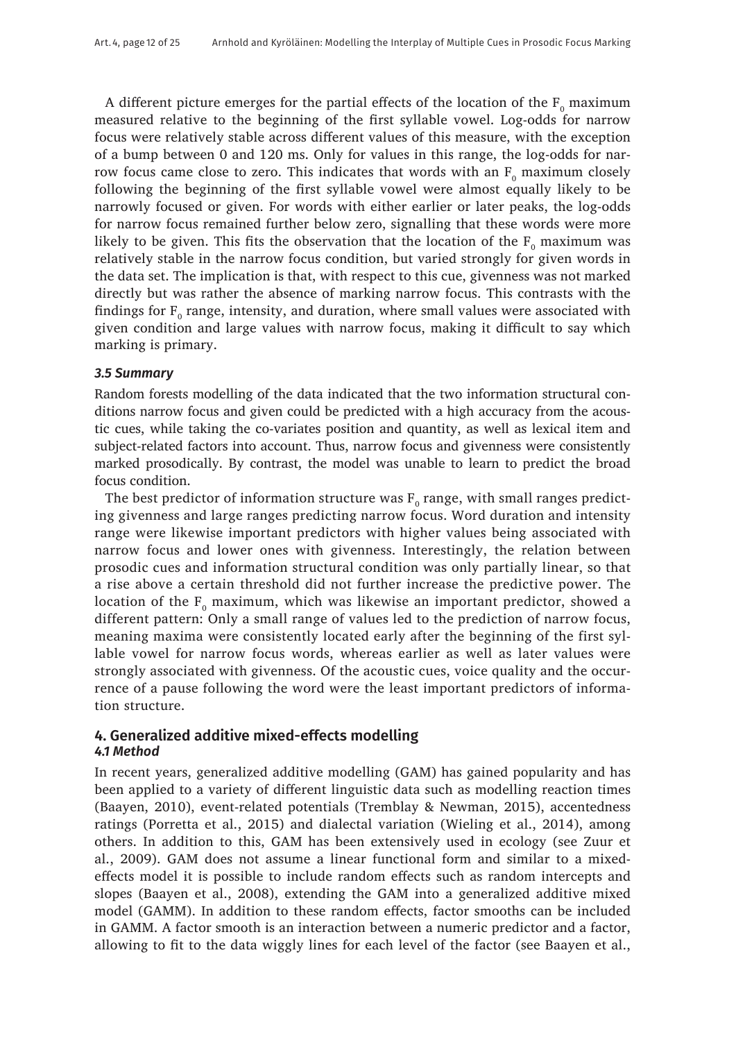A different picture emerges for the partial effects of the location of the  $F_0$  maximum measured relative to the beginning of the first syllable vowel. Log-odds for narrow focus were relatively stable across different values of this measure, with the exception of a bump between 0 and 120 ms. Only for values in this range, the log-odds for narrow focus came close to zero. This indicates that words with an  $F_0$  maximum closely following the beginning of the first syllable vowel were almost equally likely to be narrowly focused or given. For words with either earlier or later peaks, the log-odds for narrow focus remained further below zero, signalling that these words were more likely to be given. This fits the observation that the location of the  $F_0$  maximum was relatively stable in the narrow focus condition, but varied strongly for given words in the data set. The implication is that, with respect to this cue, givenness was not marked directly but was rather the absence of marking narrow focus. This contrasts with the findings for  $F_0$  range, intensity, and duration, where small values were associated with given condition and large values with narrow focus, making it difficult to say which marking is primary.

#### *3.5 Summary*

Random forests modelling of the data indicated that the two information structural conditions narrow focus and given could be predicted with a high accuracy from the acoustic cues, while taking the co-variates position and quantity, as well as lexical item and subject-related factors into account. Thus, narrow focus and givenness were consistently marked prosodically. By contrast, the model was unable to learn to predict the broad focus condition.

The best predictor of information structure was  $F_0$  range, with small ranges predicting givenness and large ranges predicting narrow focus. Word duration and intensity range were likewise important predictors with higher values being associated with narrow focus and lower ones with givenness. Interestingly, the relation between prosodic cues and information structural condition was only partially linear, so that a rise above a certain threshold did not further increase the predictive power. The location of the  $F_0$  maximum, which was likewise an important predictor, showed a different pattern: Only a small range of values led to the prediction of narrow focus, meaning maxima were consistently located early after the beginning of the first syllable vowel for narrow focus words, whereas earlier as well as later values were strongly associated with givenness. Of the acoustic cues, voice quality and the occurrence of a pause following the word were the least important predictors of information structure.

# **4. Generalized additive mixed-effects modelling** *4.1 Method*

In recent years, generalized additive modelling (GAM) has gained popularity and has been applied to a variety of different linguistic data such as modelling reaction times (Baayen, 2010), event-related potentials (Tremblay & Newman, 2015), accentedness ratings (Porretta et al., 2015) and dialectal variation (Wieling et al., 2014), among others. In addition to this, GAM has been extensively used in ecology (see Zuur et al., 2009). GAM does not assume a linear functional form and similar to a mixedeffects model it is possible to include random effects such as random intercepts and slopes (Baayen et al., 2008), extending the GAM into a generalized additive mixed model (GAMM). In addition to these random effects, factor smooths can be included in GAMM. A factor smooth is an interaction between a numeric predictor and a factor, allowing to fit to the data wiggly lines for each level of the factor (see Baayen et al.,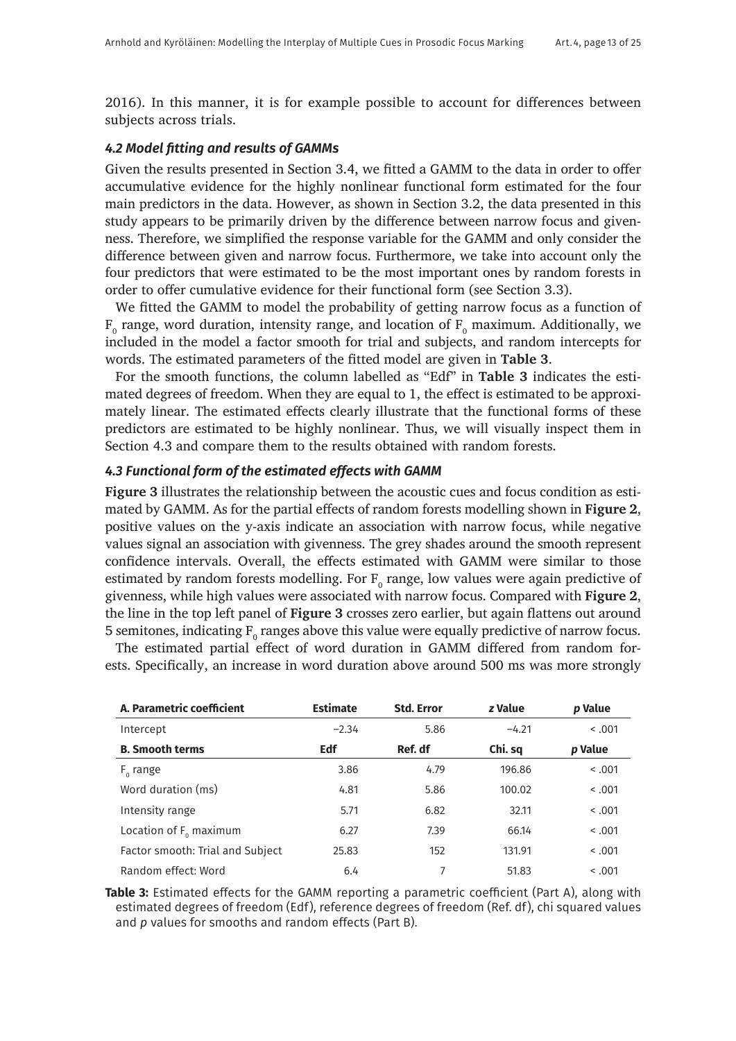2016). In this manner, it is for example possible to account for differences between subjects across trials.

#### *4.2 Model fitting and results of GAMMs*

Given the results presented in Section 3.4, we fitted a GAMM to the data in order to offer accumulative evidence for the highly nonlinear functional form estimated for the four main predictors in the data. However, as shown in Section 3.2, the data presented in this study appears to be primarily driven by the difference between narrow focus and givenness. Therefore, we simplified the response variable for the GAMM and only consider the difference between given and narrow focus. Furthermore, we take into account only the four predictors that were estimated to be the most important ones by random forests in order to offer cumulative evidence for their functional form (see Section 3.3).

We fitted the GAMM to model the probability of getting narrow focus as a function of  $\text{F}_{\text{o}}$  range, word duration, intensity range, and location of  $\text{F}_{\text{o}}$  maximum. Additionally, we included in the model a factor smooth for trial and subjects, and random intercepts for words. The estimated parameters of the fitted model are given in **Table 3**.

For the smooth functions, the column labelled as "Edf" in **Table 3** indicates the estimated degrees of freedom. When they are equal to 1, the effect is estimated to be approximately linear. The estimated effects clearly illustrate that the functional forms of these predictors are estimated to be highly nonlinear. Thus, we will visually inspect them in Section 4.3 and compare them to the results obtained with random forests.

#### *4.3 Functional form of the estimated effects with GAMM*

**Figure 3** illustrates the relationship between the acoustic cues and focus condition as estimated by GAMM. As for the partial effects of random forests modelling shown in **Figure 2**, positive values on the y-axis indicate an association with narrow focus, while negative values signal an association with givenness. The grey shades around the smooth represent confidence intervals. Overall, the effects estimated with GAMM were similar to those estimated by random forests modelling. For  $F_0$  range, low values were again predictive of givenness, while high values were associated with narrow focus. Compared with **Figure 2**, the line in the top left panel of **Figure 3** crosses zero earlier, but again flattens out around 5 semitones, indicating  $\mathrm{F_{o}}$  ranges above this value were equally predictive of narrow focus.

The estimated partial effect of word duration in GAMM differed from random forests. Specifically, an increase in word duration above around 500 ms was more strongly

| A. Parametric coefficient        | <b>Estimate</b> | <b>Std. Error</b> | z Value | p Value |
|----------------------------------|-----------------|-------------------|---------|---------|
| Intercept                        | $-2.34$         | 5.86              | $-4.21$ | 0.001   |
| <b>B. Smooth terms</b>           | Edf             | Ref. df           | Chi. sq | p Value |
| $F_{0}$ range                    | 3.86            | 4.79              | 196.86  | 0.001   |
| Word duration (ms)               | 4.81            | 5.86              | 100.02  | 0.001   |
| Intensity range                  | 5.71            | 6.82              | 32.11   | 0.001   |
| Location of $F_0$ maximum        | 6.27            | 7.39              | 66.14   | 0.001   |
| Factor smooth: Trial and Subject | 25.83           | 152               | 131.91  | 0.001   |
| Random effect: Word              | 6.4             |                   | 51.83   | 0.001   |

**Table 3:** Estimated effects for the GAMM reporting a parametric coefficient (Part A), along with estimated degrees of freedom (Edf), reference degrees of freedom (Ref. df), chi squared values and *p* values for smooths and random effects (Part B).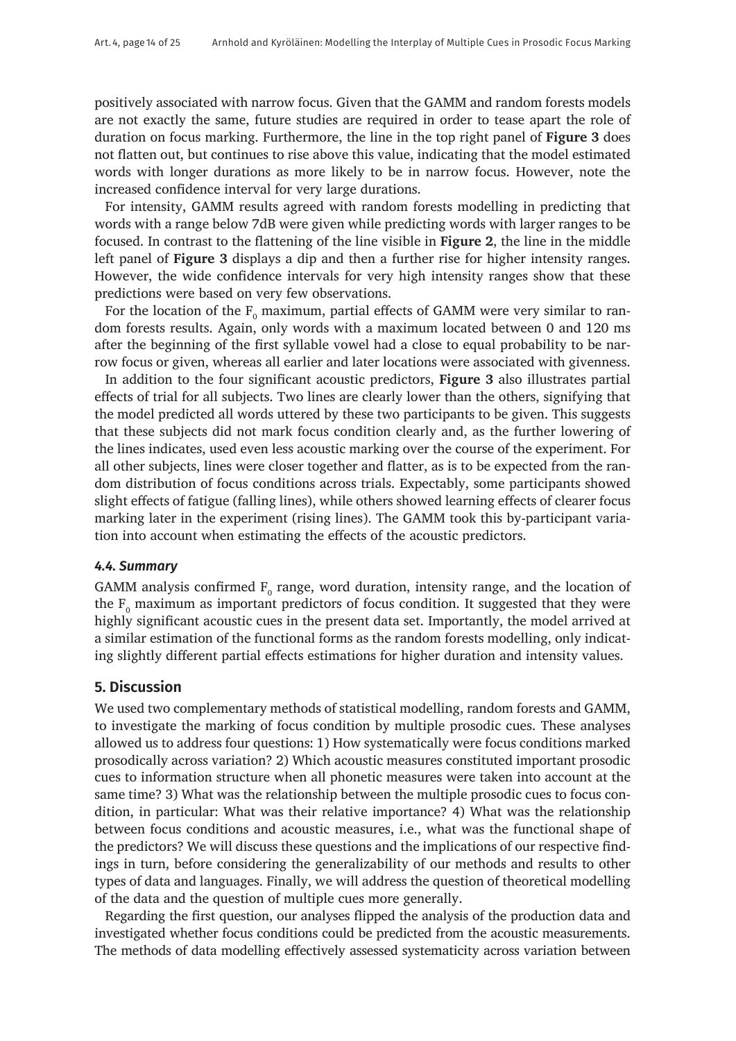positively associated with narrow focus. Given that the GAMM and random forests models are not exactly the same, future studies are required in order to tease apart the role of duration on focus marking. Furthermore, the line in the top right panel of **Figure 3** does not flatten out, but continues to rise above this value, indicating that the model estimated words with longer durations as more likely to be in narrow focus. However, note the increased confidence interval for very large durations.

For intensity, GAMM results agreed with random forests modelling in predicting that words with a range below 7dB were given while predicting words with larger ranges to be focused. In contrast to the flattening of the line visible in **Figure 2**, the line in the middle left panel of **Figure 3** displays a dip and then a further rise for higher intensity ranges. However, the wide confidence intervals for very high intensity ranges show that these predictions were based on very few observations.

For the location of the  $\text{F}_{\text{o}}$  maximum, partial effects of GAMM were very similar to random forests results. Again, only words with a maximum located between 0 and 120 ms after the beginning of the first syllable vowel had a close to equal probability to be narrow focus or given, whereas all earlier and later locations were associated with givenness.

In addition to the four significant acoustic predictors, **Figure 3** also illustrates partial effects of trial for all subjects. Two lines are clearly lower than the others, signifying that the model predicted all words uttered by these two participants to be given. This suggests that these subjects did not mark focus condition clearly and, as the further lowering of the lines indicates, used even less acoustic marking over the course of the experiment. For all other subjects, lines were closer together and flatter, as is to be expected from the random distribution of focus conditions across trials. Expectably, some participants showed slight effects of fatigue (falling lines), while others showed learning effects of clearer focus marking later in the experiment (rising lines). The GAMM took this by-participant variation into account when estimating the effects of the acoustic predictors.

#### *4.4. Summary*

GAMM analysis confirmed  $F_{0}$  range, word duration, intensity range, and the location of the  $F_0$  maximum as important predictors of focus condition. It suggested that they were highly significant acoustic cues in the present data set. Importantly, the model arrived at a similar estimation of the functional forms as the random forests modelling, only indicating slightly different partial effects estimations for higher duration and intensity values.

# **5. Discussion**

We used two complementary methods of statistical modelling, random forests and GAMM, to investigate the marking of focus condition by multiple prosodic cues. These analyses allowed us to address four questions: 1) How systematically were focus conditions marked prosodically across variation? 2) Which acoustic measures constituted important prosodic cues to information structure when all phonetic measures were taken into account at the same time? 3) What was the relationship between the multiple prosodic cues to focus condition, in particular: What was their relative importance? 4) What was the relationship between focus conditions and acoustic measures, i.e., what was the functional shape of the predictors? We will discuss these questions and the implications of our respective findings in turn, before considering the generalizability of our methods and results to other types of data and languages. Finally, we will address the question of theoretical modelling of the data and the question of multiple cues more generally.

Regarding the first question, our analyses flipped the analysis of the production data and investigated whether focus conditions could be predicted from the acoustic measurements. The methods of data modelling effectively assessed systematicity across variation between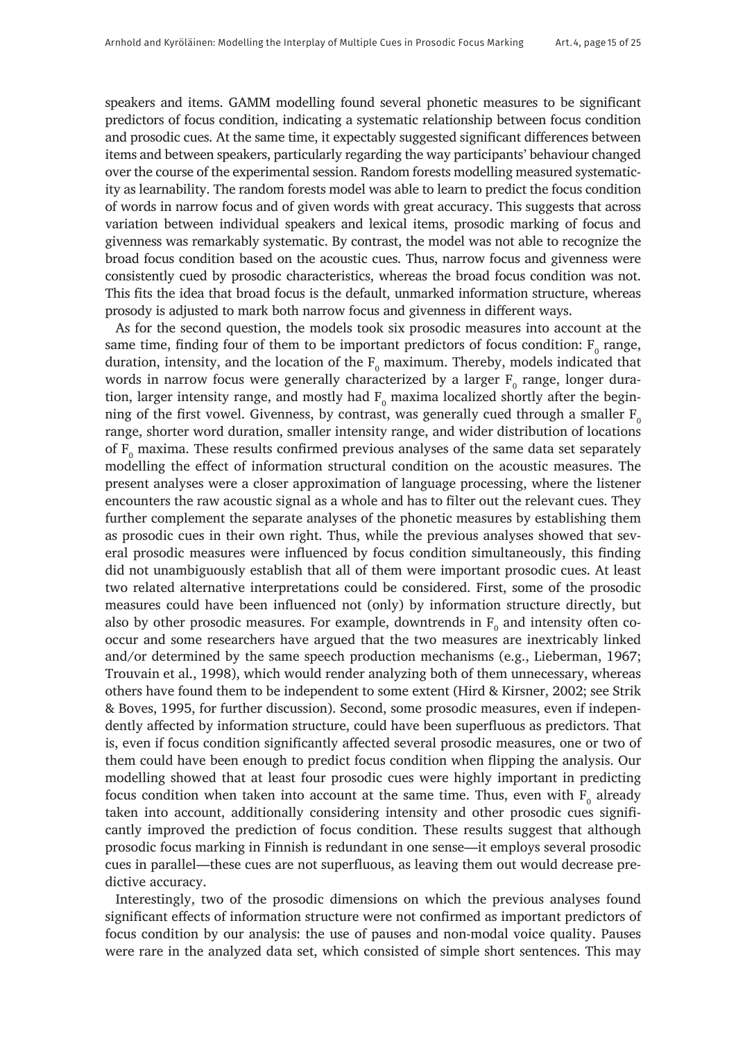speakers and items. GAMM modelling found several phonetic measures to be significant predictors of focus condition, indicating a systematic relationship between focus condition and prosodic cues. At the same time, it expectably suggested significant differences between items and between speakers, particularly regarding the way participants' behaviour changed over the course of the experimental session. Random forests modelling measured systematicity as learnability. The random forests model was able to learn to predict the focus condition of words in narrow focus and of given words with great accuracy. This suggests that across variation between individual speakers and lexical items, prosodic marking of focus and givenness was remarkably systematic. By contrast, the model was not able to recognize the broad focus condition based on the acoustic cues. Thus, narrow focus and givenness were consistently cued by prosodic characteristics, whereas the broad focus condition was not. This fits the idea that broad focus is the default, unmarked information structure, whereas prosody is adjusted to mark both narrow focus and givenness in different ways.

As for the second question, the models took six prosodic measures into account at the same time, finding four of them to be important predictors of focus condition:  $F_0$  range, duration, intensity, and the location of the  $\text{F}_{\text{o}}$  maximum. Thereby, models indicated that words in narrow focus were generally characterized by a larger  $\boldsymbol{\mathrm{F}_{{}_{0}}}$  range, longer duration, larger intensity range, and mostly had  $\text{F}_{{\rm o}}$  maxima localized shortly after the beginning of the first vowel. Givenness, by contrast, was generally cued through a smaller  $F_0$ range, shorter word duration, smaller intensity range, and wider distribution of locations of  $F_0$  maxima. These results confirmed previous analyses of the same data set separately modelling the effect of information structural condition on the acoustic measures. The present analyses were a closer approximation of language processing, where the listener encounters the raw acoustic signal as a whole and has to filter out the relevant cues. They further complement the separate analyses of the phonetic measures by establishing them as prosodic cues in their own right. Thus, while the previous analyses showed that several prosodic measures were influenced by focus condition simultaneously, this finding did not unambiguously establish that all of them were important prosodic cues. At least two related alternative interpretations could be considered. First, some of the prosodic measures could have been influenced not (only) by information structure directly, but also by other prosodic measures. For example, downtrends in  $\text{F}_{\text{o}}$  and intensity often cooccur and some researchers have argued that the two measures are inextricably linked and/or determined by the same speech production mechanisms (e.g., Lieberman, 1967; Trouvain et al., 1998), which would render analyzing both of them unnecessary, whereas others have found them to be independent to some extent (Hird & Kirsner, 2002; see Strik & Boves, 1995, for further discussion). Second, some prosodic measures, even if independently affected by information structure, could have been superfluous as predictors. That is, even if focus condition significantly affected several prosodic measures, one or two of them could have been enough to predict focus condition when flipping the analysis. Our modelling showed that at least four prosodic cues were highly important in predicting focus condition when taken into account at the same time. Thus, even with  $\mathrm{F_{o}}$  already taken into account, additionally considering intensity and other prosodic cues significantly improved the prediction of focus condition. These results suggest that although prosodic focus marking in Finnish is redundant in one sense—it employs several prosodic cues in parallel—these cues are not superfluous, as leaving them out would decrease predictive accuracy.

Interestingly, two of the prosodic dimensions on which the previous analyses found significant effects of information structure were not confirmed as important predictors of focus condition by our analysis: the use of pauses and non-modal voice quality. Pauses were rare in the analyzed data set, which consisted of simple short sentences. This may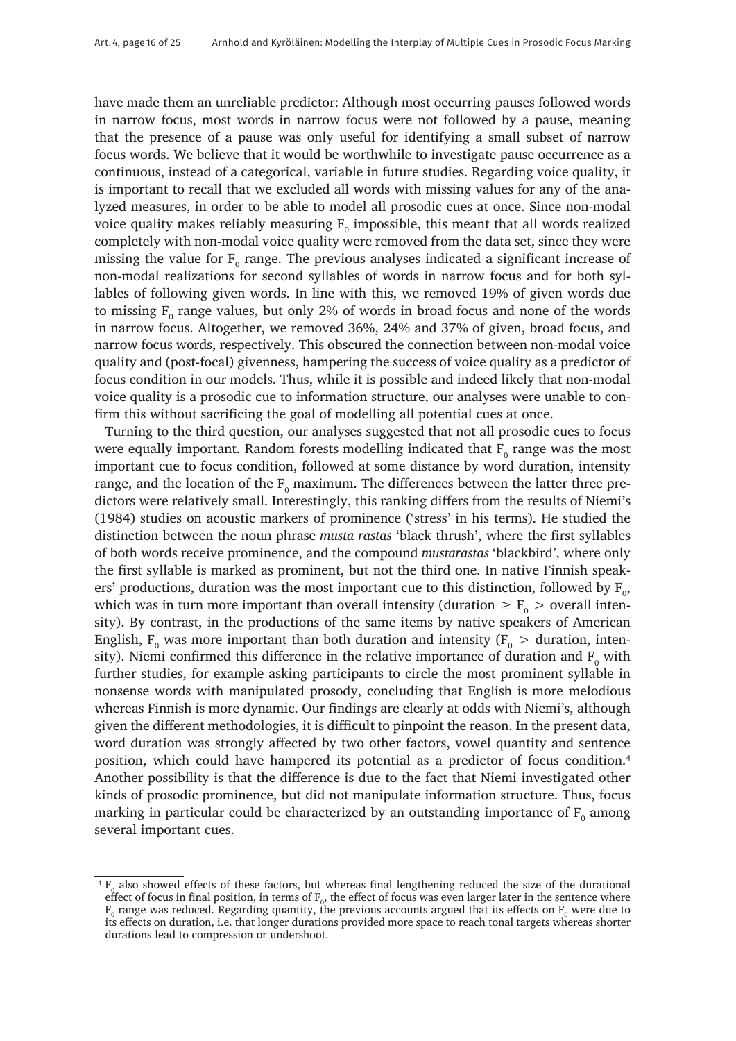have made them an unreliable predictor: Although most occurring pauses followed words in narrow focus, most words in narrow focus were not followed by a pause, meaning that the presence of a pause was only useful for identifying a small subset of narrow focus words. We believe that it would be worthwhile to investigate pause occurrence as a continuous, instead of a categorical, variable in future studies. Regarding voice quality, it is important to recall that we excluded all words with missing values for any of the analyzed measures, in order to be able to model all prosodic cues at once. Since non-modal voice quality makes reliably measuring  $\text{F}_{\text{o}}$  impossible, this meant that all words realized completely with non-modal voice quality were removed from the data set, since they were missing the value for  $F_{0}$  range. The previous analyses indicated a significant increase of non-modal realizations for second syllables of words in narrow focus and for both syllables of following given words. In line with this, we removed 19% of given words due to missing  $F_0$  range values, but only 2% of words in broad focus and none of the words in narrow focus. Altogether, we removed 36%, 24% and 37% of given, broad focus, and narrow focus words, respectively. This obscured the connection between non-modal voice quality and (post-focal) givenness, hampering the success of voice quality as a predictor of focus condition in our models. Thus, while it is possible and indeed likely that non-modal voice quality is a prosodic cue to information structure, our analyses were unable to confirm this without sacrificing the goal of modelling all potential cues at once.

Turning to the third question, our analyses suggested that not all prosodic cues to focus were equally important. Random forests modelling indicated that  $F_0$  range was the most important cue to focus condition, followed at some distance by word duration, intensity range, and the location of the  $\text{F}_{\text{0}}$  maximum. The differences between the latter three predictors were relatively small. Interestingly, this ranking differs from the results of Niemi's (1984) studies on acoustic markers of prominence ('stress' in his terms). He studied the distinction between the noun phrase *musta rastas* 'black thrush', where the first syllables of both words receive prominence, and the compound *mustarastas* 'blackbird', where only the first syllable is marked as prominent, but not the third one. In native Finnish speakers' productions, duration was the most important cue to this distinction, followed by  $F_o$ , which was in turn more important than overall intensity (duration  $\geq$  F<sub>0</sub>  $>$  overall intensity). By contrast, in the productions of the same items by native speakers of American English,  $F_0$  was more important than both duration and intensity ( $F_0 >$  duration, intensity). Niemi confirmed this difference in the relative importance of duration and  $\text{F}_{\text{o}}$  with further studies, for example asking participants to circle the most prominent syllable in nonsense words with manipulated prosody, concluding that English is more melodious whereas Finnish is more dynamic. Our findings are clearly at odds with Niemi's, although given the different methodologies, it is difficult to pinpoint the reason. In the present data, word duration was strongly affected by two other factors, vowel quantity and sentence position, which could have hampered its potential as a predictor of focus condition.4 Another possibility is that the difference is due to the fact that Niemi investigated other kinds of prosodic prominence, but did not manipulate information structure. Thus, focus marking in particular could be characterized by an outstanding importance of  $\mathrm{F}_\mathrm{0}$  among several important cues.

 ${}^{4}F_{0}$  also showed effects of these factors, but whereas final lengthening reduced the size of the durational effect of focus in final position, in terms of  $F_0$ , the effect of focus was even larger later in the sentence where  $F_0$  range was reduced. Regarding quantity, the previous accounts argued that its effects on  $F_0$  were due to its effects on duration, i.e. that longer durations provided more space to reach tonal targets whereas shorter durations lead to compression or undershoot.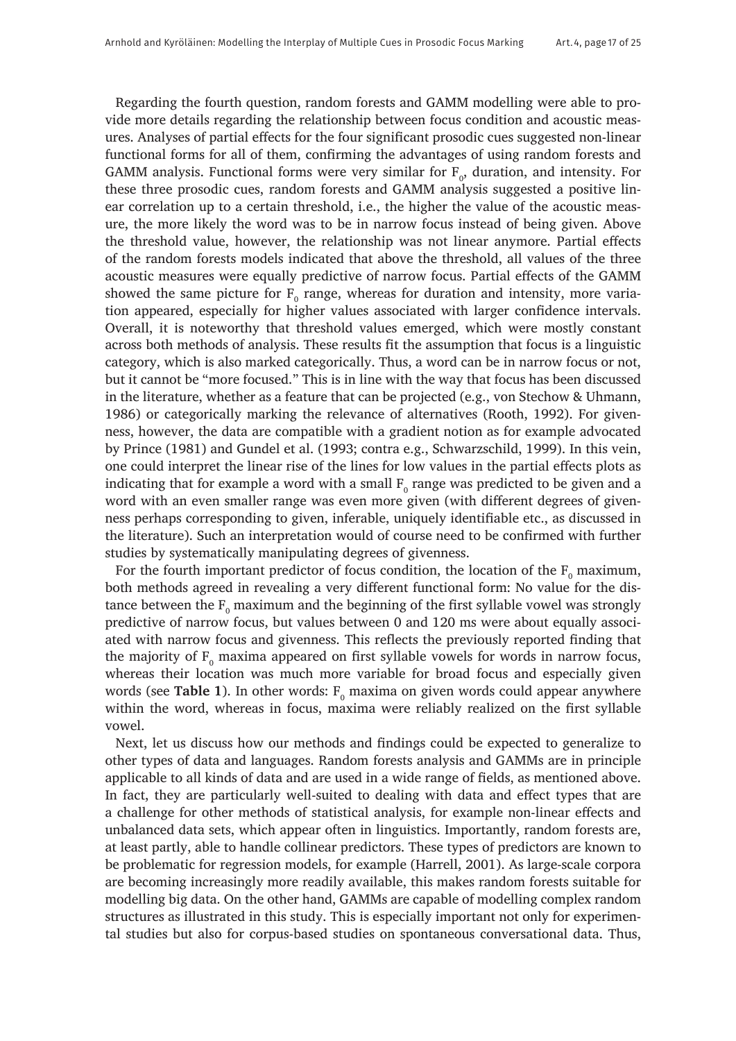Regarding the fourth question, random forests and GAMM modelling were able to provide more details regarding the relationship between focus condition and acoustic measures. Analyses of partial effects for the four significant prosodic cues suggested non-linear functional forms for all of them, confirming the advantages of using random forests and GAMM analysis. Functional forms were very similar for  $\mathrm{F_o},$  duration, and intensity. For these three prosodic cues, random forests and GAMM analysis suggested a positive linear correlation up to a certain threshold, i.e., the higher the value of the acoustic measure, the more likely the word was to be in narrow focus instead of being given. Above the threshold value, however, the relationship was not linear anymore. Partial effects of the random forests models indicated that above the threshold, all values of the three acoustic measures were equally predictive of narrow focus. Partial effects of the GAMM showed the same picture for  $\mathrm{F_{o}}$  range, whereas for duration and intensity, more variation appeared, especially for higher values associated with larger confidence intervals. Overall, it is noteworthy that threshold values emerged, which were mostly constant across both methods of analysis. These results fit the assumption that focus is a linguistic category, which is also marked categorically. Thus, a word can be in narrow focus or not, but it cannot be "more focused." This is in line with the way that focus has been discussed in the literature, whether as a feature that can be projected (e.g., von Stechow & Uhmann, 1986) or categorically marking the relevance of alternatives (Rooth, 1992). For givenness, however, the data are compatible with a gradient notion as for example advocated by Prince (1981) and Gundel et al. (1993; contra e.g., Schwarzschild, 1999). In this vein, one could interpret the linear rise of the lines for low values in the partial effects plots as indicating that for example a word with a small  $\mathrm{F_{o}}$  range was predicted to be given and a word with an even smaller range was even more given (with different degrees of givenness perhaps corresponding to given, inferable, uniquely identifiable etc., as discussed in the literature). Such an interpretation would of course need to be confirmed with further studies by systematically manipulating degrees of givenness.

For the fourth important predictor of focus condition, the location of the  $F_0$  maximum, both methods agreed in revealing a very different functional form: No value for the distance between the  $\text{F}_{\text{o}}$  maximum and the beginning of the first syllable vowel was strongly predictive of narrow focus, but values between 0 and 120 ms were about equally associated with narrow focus and givenness. This reflects the previously reported finding that the majority of  $F_{0}$  maxima appeared on first syllable vowels for words in narrow focus, whereas their location was much more variable for broad focus and especially given words (see **Table 1**). In other words:  $\mathrm{F_{o}}$  maxima on given words could appear anywhere within the word, whereas in focus, maxima were reliably realized on the first syllable vowel.

Next, let us discuss how our methods and findings could be expected to generalize to other types of data and languages. Random forests analysis and GAMMs are in principle applicable to all kinds of data and are used in a wide range of fields, as mentioned above. In fact, they are particularly well-suited to dealing with data and effect types that are a challenge for other methods of statistical analysis, for example non-linear effects and unbalanced data sets, which appear often in linguistics. Importantly, random forests are, at least partly, able to handle collinear predictors. These types of predictors are known to be problematic for regression models, for example (Harrell, 2001). As large-scale corpora are becoming increasingly more readily available, this makes random forests suitable for modelling big data. On the other hand, GAMMs are capable of modelling complex random structures as illustrated in this study. This is especially important not only for experimental studies but also for corpus-based studies on spontaneous conversational data. Thus,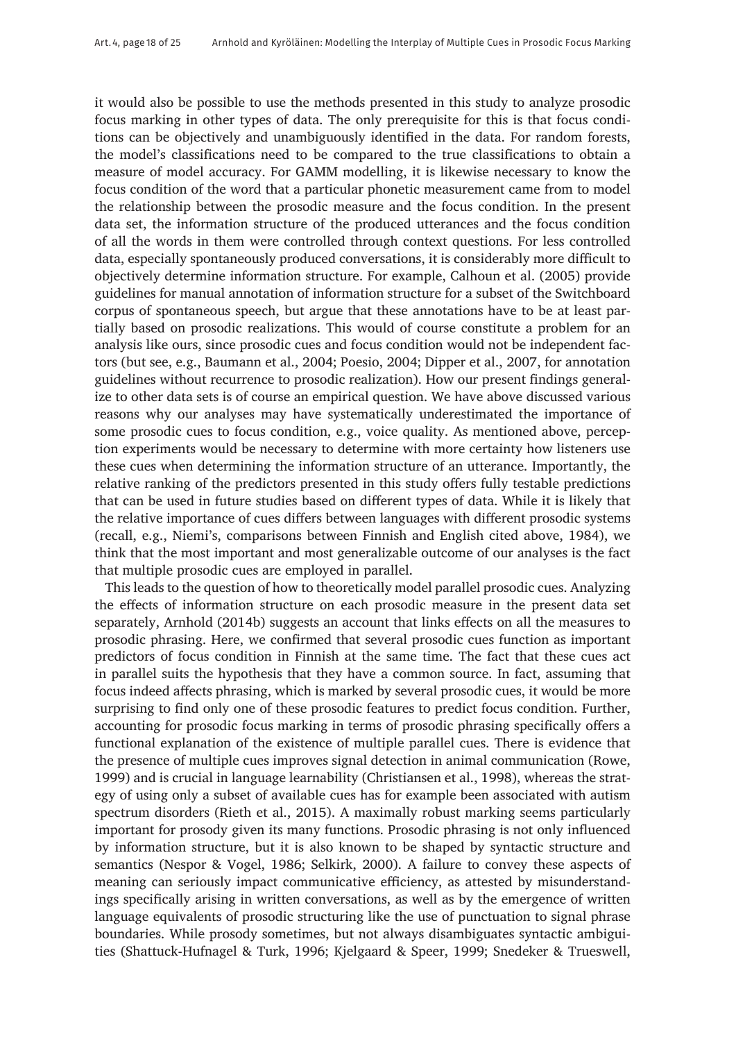it would also be possible to use the methods presented in this study to analyze prosodic focus marking in other types of data. The only prerequisite for this is that focus conditions can be objectively and unambiguously identified in the data. For random forests, the model's classifications need to be compared to the true classifications to obtain a measure of model accuracy. For GAMM modelling, it is likewise necessary to know the focus condition of the word that a particular phonetic measurement came from to model the relationship between the prosodic measure and the focus condition. In the present data set, the information structure of the produced utterances and the focus condition of all the words in them were controlled through context questions. For less controlled data, especially spontaneously produced conversations, it is considerably more difficult to objectively determine information structure. For example, Calhoun et al. (2005) provide guidelines for manual annotation of information structure for a subset of the Switchboard corpus of spontaneous speech, but argue that these annotations have to be at least partially based on prosodic realizations. This would of course constitute a problem for an analysis like ours, since prosodic cues and focus condition would not be independent factors (but see, e.g., Baumann et al., 2004; Poesio, 2004; Dipper et al., 2007, for annotation guidelines without recurrence to prosodic realization). How our present findings generalize to other data sets is of course an empirical question. We have above discussed various reasons why our analyses may have systematically underestimated the importance of some prosodic cues to focus condition, e.g., voice quality. As mentioned above, perception experiments would be necessary to determine with more certainty how listeners use these cues when determining the information structure of an utterance. Importantly, the relative ranking of the predictors presented in this study offers fully testable predictions that can be used in future studies based on different types of data. While it is likely that the relative importance of cues differs between languages with different prosodic systems (recall, e.g., Niemi's, comparisons between Finnish and English cited above, 1984), we think that the most important and most generalizable outcome of our analyses is the fact that multiple prosodic cues are employed in parallel.

This leads to the question of how to theoretically model parallel prosodic cues. Analyzing the effects of information structure on each prosodic measure in the present data set separately, Arnhold (2014b) suggests an account that links effects on all the measures to prosodic phrasing. Here, we confirmed that several prosodic cues function as important predictors of focus condition in Finnish at the same time. The fact that these cues act in parallel suits the hypothesis that they have a common source. In fact, assuming that focus indeed affects phrasing, which is marked by several prosodic cues, it would be more surprising to find only one of these prosodic features to predict focus condition. Further, accounting for prosodic focus marking in terms of prosodic phrasing specifically offers a functional explanation of the existence of multiple parallel cues. There is evidence that the presence of multiple cues improves signal detection in animal communication (Rowe, 1999) and is crucial in language learnability (Christiansen et al., 1998), whereas the strategy of using only a subset of available cues has for example been associated with autism spectrum disorders (Rieth et al., 2015). A maximally robust marking seems particularly important for prosody given its many functions. Prosodic phrasing is not only influenced by information structure, but it is also known to be shaped by syntactic structure and semantics (Nespor & Vogel, 1986; Selkirk, 2000). A failure to convey these aspects of meaning can seriously impact communicative efficiency, as attested by misunderstandings specifically arising in written conversations, as well as by the emergence of written language equivalents of prosodic structuring like the use of punctuation to signal phrase boundaries. While prosody sometimes, but not always disambiguates syntactic ambiguities (Shattuck-Hufnagel & Turk, 1996; Kjelgaard & Speer, 1999; Snedeker & Trueswell,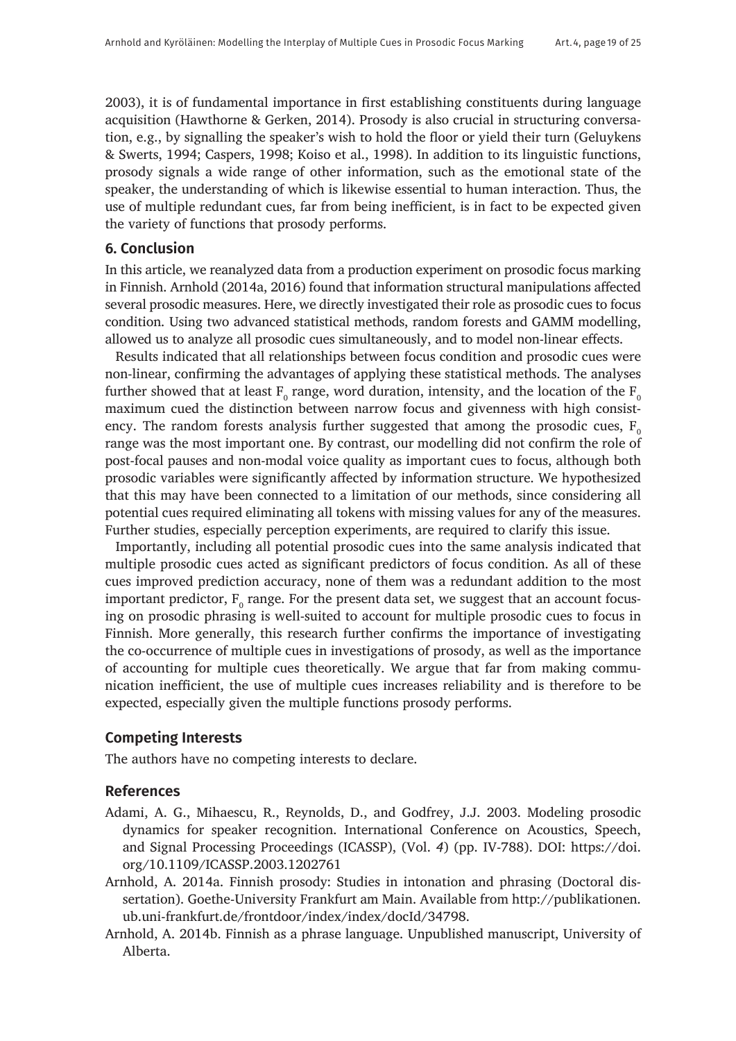2003), it is of fundamental importance in first establishing constituents during language acquisition (Hawthorne & Gerken, 2014). Prosody is also crucial in structuring conversation, e.g., by signalling the speaker's wish to hold the floor or yield their turn (Geluykens & Swerts, 1994; Caspers, 1998; Koiso et al., 1998). In addition to its linguistic functions, prosody signals a wide range of other information, such as the emotional state of the speaker, the understanding of which is likewise essential to human interaction. Thus, the use of multiple redundant cues, far from being inefficient, is in fact to be expected given the variety of functions that prosody performs.

#### **6. Conclusion**

In this article, we reanalyzed data from a production experiment on prosodic focus marking in Finnish. Arnhold (2014a, 2016) found that information structural manipulations affected several prosodic measures. Here, we directly investigated their role as prosodic cues to focus condition. Using two advanced statistical methods, random forests and GAMM modelling, allowed us to analyze all prosodic cues simultaneously, and to model non-linear effects.

Results indicated that all relationships between focus condition and prosodic cues were non-linear, confirming the advantages of applying these statistical methods. The analyses further showed that at least  $\text{F}_{\text{o}}$  range, word duration, intensity, and the location of the  $\text{F}_{\text{o}}$ maximum cued the distinction between narrow focus and givenness with high consistency. The random forests analysis further suggested that among the prosodic cues,  $F_0$ range was the most important one. By contrast, our modelling did not confirm the role of post-focal pauses and non-modal voice quality as important cues to focus, although both prosodic variables were significantly affected by information structure. We hypothesized that this may have been connected to a limitation of our methods, since considering all potential cues required eliminating all tokens with missing values for any of the measures. Further studies, especially perception experiments, are required to clarify this issue.

Importantly, including all potential prosodic cues into the same analysis indicated that multiple prosodic cues acted as significant predictors of focus condition. As all of these cues improved prediction accuracy, none of them was a redundant addition to the most important predictor,  $\mathrm{F_{o}}$  range. For the present data set, we suggest that an account focusing on prosodic phrasing is well-suited to account for multiple prosodic cues to focus in Finnish. More generally, this research further confirms the importance of investigating the co-occurrence of multiple cues in investigations of prosody, as well as the importance of accounting for multiple cues theoretically. We argue that far from making communication inefficient, the use of multiple cues increases reliability and is therefore to be expected, especially given the multiple functions prosody performs.

## **Competing Interests**

The authors have no competing interests to declare.

## **References**

- Adami, A. G., Mihaescu, R., Reynolds, D., and Godfrey, J.J. 2003. Modeling prosodic dynamics for speaker recognition. International Conference on Acoustics, Speech, and Signal Processing Proceedings (ICASSP), (Vol. *4*) (pp. IV-788). DOI: [https://doi.](https://doi.org/10.1109/ICASSP.2003.1202761) [org/10.1109/ICASSP.2003.1202761](https://doi.org/10.1109/ICASSP.2003.1202761)
- Arnhold, A. 2014a. Finnish prosody: Studies in intonation and phrasing (Doctoral dissertation). Goethe-University Frankfurt am Main. Available from [http://publikationen.](http://publikationen.ub.uni-frankfurt.de/frontdoor/index/index/docId/34798) [ub.uni-frankfurt.de/frontdoor/index/index/docId/34798](http://publikationen.ub.uni-frankfurt.de/frontdoor/index/index/docId/34798).
- Arnhold, A. 2014b. Finnish as a phrase language. Unpublished manuscript, University of Alberta.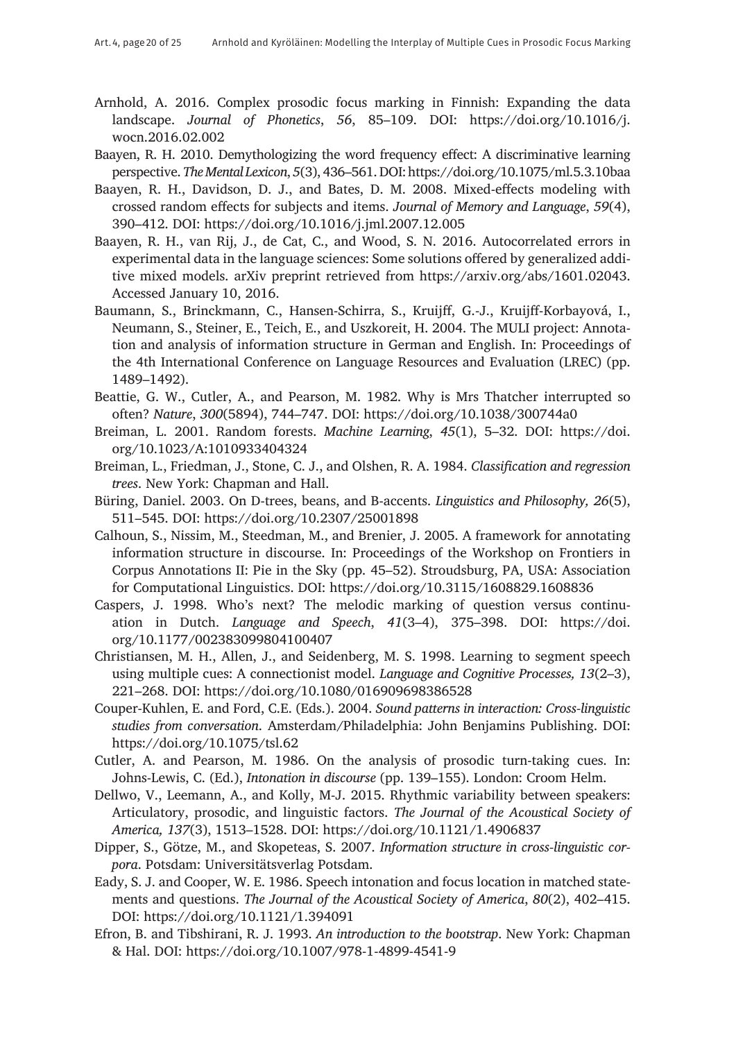- Arnhold, A. 2016. Complex prosodic focus marking in Finnish: Expanding the data landscape. *Journal of Phonetics*, *56*, 85–109. DOI: [https://doi.org/10.1016/j.](https://doi.org/10.1016/j.wocn.2016.02.002) [wocn.2016.02.002](https://doi.org/10.1016/j.wocn.2016.02.002)
- Baayen, R. H. 2010. Demythologizing the word frequency effect: A discriminative learning perspective. *The Mental Lexicon*, *5*(3), 436–561. DOI: <https://doi.org/10.1075/ml.5.3.10baa>
- Baayen, R. H., Davidson, D. J., and Bates, D. M. 2008. Mixed-effects modeling with crossed random effects for subjects and items. *Journal of Memory and Language*, *59*(4), 390–412. DOI: <https://doi.org/10.1016/j.jml.2007.12.005>
- Baayen, R. H., van Rij, J., de Cat, C., and Wood, S. N. 2016. Autocorrelated errors in experimental data in the language sciences: Some solutions offered by generalized additive mixed models. arXiv preprint retrieved from <https://arxiv.org/abs/1601.02043>. Accessed January 10, 2016.
- Baumann, S., Brinckmann, C., Hansen-Schirra, S., Kruijff, G.-J., Kruijff-Korbayová, I., Neumann, S., Steiner, E., Teich, E., and Uszkoreit, H. 2004. The MULI project: Annotation and analysis of information structure in German and English. In: Proceedings of the 4th International Conference on Language Resources and Evaluation (LREC) (pp. 1489–1492).
- Beattie, G. W., Cutler, A., and Pearson, M. 1982. Why is Mrs Thatcher interrupted so often? *Nature*, *300*(5894), 744–747. DOI: <https://doi.org/10.1038/300744a0>
- Breiman, L. 2001. Random forests. *Machine Learning*, *45*(1), 5–32. DOI: [https://doi.](https://doi.org/10.1023/A:1010933404324) [org/10.1023/A:1010933404324](https://doi.org/10.1023/A:1010933404324)
- Breiman, L., Friedman, J., Stone, C. J., and Olshen, R. A. 1984. *Classification and regression trees*. New York: Chapman and Hall.
- Büring, Daniel. 2003. On D-trees, beans, and B-accents. *Linguistics and Philosophy, 26*(5), 511–545. DOI: <https://doi.org/10.2307/25001898>
- Calhoun, S., Nissim, M., Steedman, M., and Brenier, J. 2005. A framework for annotating information structure in discourse. In: Proceedings of the Workshop on Frontiers in Corpus Annotations II: Pie in the Sky (pp. 45–52). Stroudsburg, PA, USA: Association for Computational Linguistics. DOI: <https://doi.org/10.3115/1608829.1608836>
- Caspers, J. 1998. Who's next? The melodic marking of question versus continuation in Dutch. *Language and Speech*, *41*(3–4), 375–398. DOI: [https://doi.](https://doi.org/10.1177/002383099804100407) [org/10.1177/002383099804100407](https://doi.org/10.1177/002383099804100407)
- Christiansen, M. H., Allen, J., and Seidenberg, M. S. 1998. Learning to segment speech using multiple cues: A connectionist model. *Language and Cognitive Processes, 13*(2–3), 221–268. DOI: <https://doi.org/10.1080/016909698386528>
- Couper-Kuhlen, E. and Ford, C.E. (Eds.). 2004. *Sound patterns in interaction: Cross-linguistic studies from conversation*. Amsterdam/Philadelphia: John Benjamins Publishing. DOI: <https://doi.org/10.1075/tsl.62>
- Cutler, A. and Pearson, M. 1986. On the analysis of prosodic turn-taking cues. In: Johns-Lewis, C. (Ed.), *Intonation in discourse* (pp. 139–155). London: Croom Helm.
- Dellwo, V., Leemann, A., and Kolly, M-J. 2015. Rhythmic variability between speakers: Articulatory, prosodic, and linguistic factors. *The Journal of the Acoustical Society of America, 137*(3), 1513–1528. DOI: <https://doi.org/10.1121/1.4906837>
- Dipper, S., Götze, M., and Skopeteas, S. 2007. *Information structure in cross-linguistic corpora*. Potsdam: Universitätsverlag Potsdam.
- Eady, S. J. and Cooper, W. E. 1986. Speech intonation and focus location in matched statements and questions. *The Journal of the Acoustical Society of America*, *80*(2), 402–415. DOI: <https://doi.org/10.1121/1.394091>
- Efron, B. and Tibshirani, R. J. 1993. *An introduction to the bootstrap*. New York: Chapman & Hal. DOI: <https://doi.org/10.1007/978-1-4899-4541-9>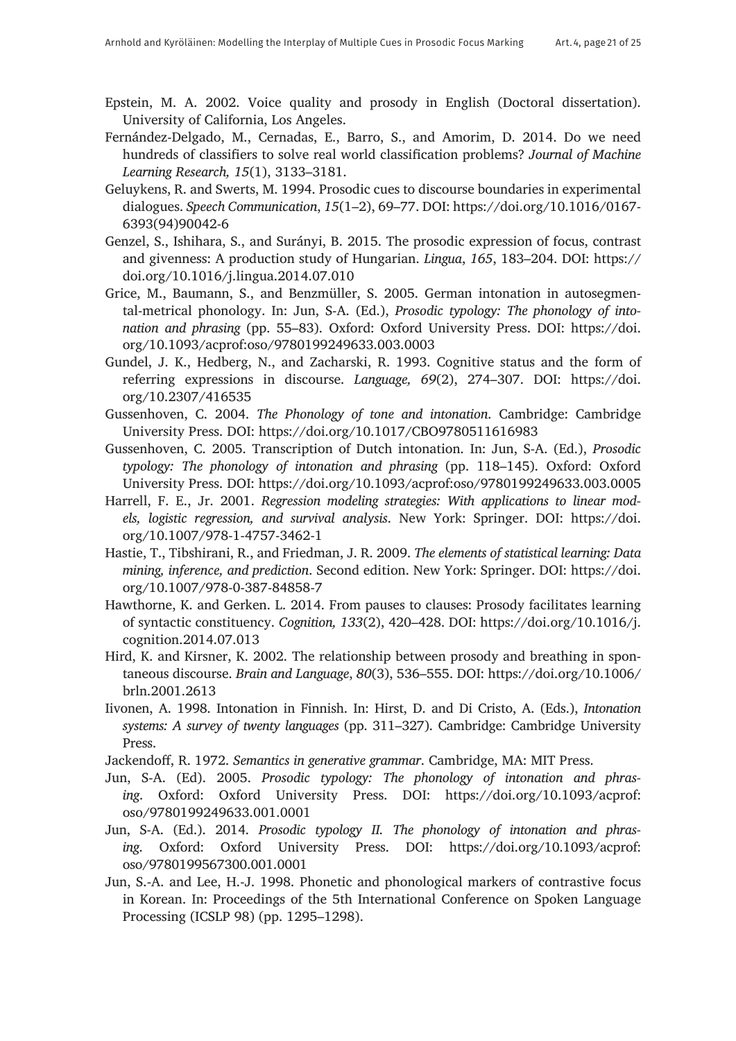- Epstein, M. A. 2002. Voice quality and prosody in English (Doctoral dissertation). University of California, Los Angeles.
- Fernández-Delgado, M., Cernadas, E., Barro, S., and Amorim, D. 2014. Do we need hundreds of classifiers to solve real world classification problems? *Journal of Machine Learning Research, 15*(1), 3133–3181.
- Geluykens, R. and Swerts, M. 1994. Prosodic cues to discourse boundaries in experimental dialogues. *Speech Communication*, *15*(1–2), 69–77. DOI: [https://doi.org/10.1016/0167-](https://doi.org/10.1016/0167-6393(94)90042-6) [6393\(94\)90042-6](https://doi.org/10.1016/0167-6393(94)90042-6)
- Genzel, S., Ishihara, S., and Surányi, B. 2015. The prosodic expression of focus, contrast and givenness: A production study of Hungarian. *Lingua*, *165*, 183–204. DOI: [https://](https://doi.org/10.1016/j.lingua.2014.07.010) [doi.org/10.1016/j.lingua.2014.07.010](https://doi.org/10.1016/j.lingua.2014.07.010)
- Grice, M., Baumann, S., and Benzmüller, S. 2005. German intonation in autosegmental-metrical phonology. In: Jun, S-A. (Ed.), *Prosodic typology: The phonology of intonation and phrasing* (pp. 55–83). Oxford: Oxford University Press. DOI: [https://doi.](https://doi.org/10.1093/acprof:oso/9780199249633.003.0003) [org/10.1093/acprof:oso/9780199249633.003.0003](https://doi.org/10.1093/acprof:oso/9780199249633.003.0003)
- Gundel, J. K., Hedberg, N., and Zacharski, R. 1993. Cognitive status and the form of referring expressions in discourse. *Language, 69*(2), 274–307. DOI: [https://doi.](https://doi.org/10.2307/416535) [org/10.2307/416535](https://doi.org/10.2307/416535)
- Gussenhoven, C. 2004. *The Phonology of tone and intonation*. Cambridge: Cambridge University Press. DOI: <https://doi.org/10.1017/CBO9780511616983>
- Gussenhoven, C. 2005. Transcription of Dutch intonation. In: Jun, S-A. (Ed.), *Prosodic typology: The phonology of intonation and phrasing* (pp. 118–145). Oxford: Oxford University Press. DOI: <https://doi.org/10.1093/acprof:oso/9780199249633.003.0005>
- Harrell, F. E., Jr. 2001. *Regression modeling strategies: With applications to linear models, logistic regression, and survival analysis*. New York: Springer. DOI: [https://doi.](https://doi.org/10.1007/978-1-4757-3462-1) [org/10.1007/978-1-4757-3462-1](https://doi.org/10.1007/978-1-4757-3462-1)
- Hastie, T., Tibshirani, R., and Friedman, J. R. 2009. *The elements of statistical learning: Data mining, inference, and prediction*. Second edition. New York: Springer. DOI: [https://doi.](https://doi.org/10.1007/978-0-387-84858-7) [org/10.1007/978-0-387-84858-7](https://doi.org/10.1007/978-0-387-84858-7)
- Hawthorne, K. and Gerken. L. 2014. From pauses to clauses: Prosody facilitates learning of syntactic constituency. *Cognition, 133*(2), 420–428. DOI: [https://doi.org/10.1016/j.](https://doi.org/10.1016/j.cognition.2014.07.013) [cognition.2014.07.013](https://doi.org/10.1016/j.cognition.2014.07.013)
- Hird, K. and Kirsner, K. 2002. The relationship between prosody and breathing in spontaneous discourse. *Brain and Language*, *80*(3), 536–555. DOI: [https://doi.org/10.1006/](https://doi.org/10.1006/brln.2001.2613) [brln.2001.2613](https://doi.org/10.1006/brln.2001.2613)
- Iivonen, A. 1998. Intonation in Finnish. In: Hirst, D. and Di Cristo, A. (Eds.), *Intonation systems: A survey of twenty languages* (pp. 311–327). Cambridge: Cambridge University Press.
- Jackendoff, R. 1972. *Semantics in generative grammar*. Cambridge, MA: MIT Press.
- Jun, S-A. (Ed). 2005. *Prosodic typology: The phonology of intonation and phrasing*. Oxford: Oxford University Press. DOI: [https://doi.org/10.1093/acprof:](https://doi.org/10.1093/acprof:oso/9780199249633.001.0001) [oso/9780199249633.001.0001](https://doi.org/10.1093/acprof:oso/9780199249633.001.0001)
- Jun, S-A. (Ed.). 2014. *Prosodic typology II. The phonology of intonation and phrasing*. Oxford: Oxford University Press. DOI: [https://doi.org/10.1093/acprof:](https://doi.org/10.1093/acprof:oso/9780199567300.001.0001) [oso/9780199567300.001.0001](https://doi.org/10.1093/acprof:oso/9780199567300.001.0001)
- Jun, S.-A. and Lee, H.-J. 1998. Phonetic and phonological markers of contrastive focus in Korean. In: Proceedings of the 5th International Conference on Spoken Language Processing (ICSLP 98) (pp. 1295–1298).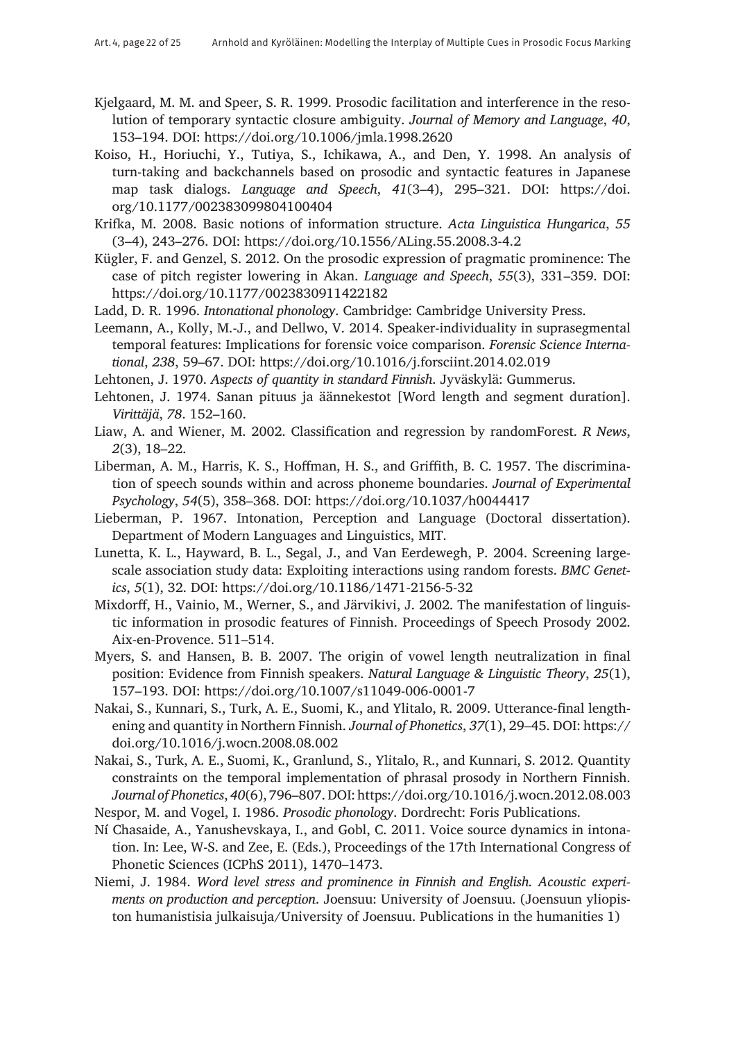- Kjelgaard, M. M. and Speer, S. R. 1999. Prosodic facilitation and interference in the resolution of temporary syntactic closure ambiguity. *Journal of Memory and Language*, *40*, 153–194. DOI: <https://doi.org/10.1006/jmla.1998.2620>
- Koiso, H., Horiuchi, Y., Tutiya, S., Ichikawa, A., and Den, Y. 1998. An analysis of turn-taking and backchannels based on prosodic and syntactic features in Japanese map task dialogs. *Language and Speech*, *41*(3–4), 295–321. DOI: [https://doi.](https://doi.org/10.1177/002383099804100404) [org/10.1177/002383099804100404](https://doi.org/10.1177/002383099804100404)
- Krifka, M. 2008. Basic notions of information structure. *Acta Linguistica Hungarica*, *55* (3–4), 243–276. DOI: <https://doi.org/10.1556/ALing.55.2008.3-4.2>
- Kügler, F. and Genzel, S. 2012. On the prosodic expression of pragmatic prominence: The case of pitch register lowering in Akan. *Language and Speech*, *55*(3), 331–359. DOI: <https://doi.org/10.1177/0023830911422182>
- Ladd, D. R. 1996. *Intonational phonology*. Cambridge: Cambridge University Press.
- Leemann, A., Kolly, M.-J., and Dellwo, V. 2014. Speaker-individuality in suprasegmental temporal features: Implications for forensic voice comparison. *Forensic Science International*, *238*, 59–67. DOI: <https://doi.org/10.1016/j.forsciint.2014.02.019>

Lehtonen, J. 1970. *Aspects of quantity in standard Finnish*. Jyväskylä: Gummerus.

- Lehtonen, J. 1974. Sanan pituus ja äännekestot [Word length and segment duration]. *Virittäjä*, *78*. 152–160.
- Liaw, A. and Wiener, M. 2002. Classification and regression by randomForest. *R News*, *2*(3), 18–22.
- Liberman, A. M., Harris, K. S., Hoffman, H. S., and Griffith, B. C. 1957. The discrimination of speech sounds within and across phoneme boundaries. *Journal of Experimental Psychology*, *54*(5), 358–368. DOI: <https://doi.org/10.1037/h0044417>
- Lieberman, P. 1967. Intonation, Perception and Language (Doctoral dissertation). Department of Modern Languages and Linguistics, MIT.
- Lunetta, K. L., Hayward, B. L., Segal, J., and Van Eerdewegh, P. 2004. Screening largescale association study data: Exploiting interactions using random forests. *BMC Genetics*, *5*(1), 32. DOI: <https://doi.org/10.1186/1471-2156-5-32>
- Mixdorff, H., Vainio, M., Werner, S., and Järvikivi, J. 2002. The manifestation of linguistic information in prosodic features of Finnish. Proceedings of Speech Prosody 2002. Aix-en-Provence. 511–514.
- Myers, S. and Hansen, B. B. 2007. The origin of vowel length neutralization in final position: Evidence from Finnish speakers. *Natural Language & Linguistic Theory*, *25*(1), 157–193. DOI: <https://doi.org/10.1007/s11049-006-0001-7>
- Nakai, S., Kunnari, S., Turk, A. E., Suomi, K., and Ylitalo, R. 2009. Utterance-final lengthening and quantity in Northern Finnish. *Journal of Phonetics*, *37*(1), 29–45. DOI: [https://](https://doi.org/10.1016/j.wocn.2008.08.002) [doi.org/10.1016/j.wocn.2008.08.002](https://doi.org/10.1016/j.wocn.2008.08.002)
- Nakai, S., Turk, A. E., Suomi, K., Granlund, S., Ylitalo, R., and Kunnari, S. 2012. Quantity constraints on the temporal implementation of phrasal prosody in Northern Finnish. *Journal of Phonetics*, *40*(6), 796–807. DOI: <https://doi.org/10.1016/j.wocn.2012.08.003>
- Nespor, M. and Vogel, I. 1986. *Prosodic phonology*. Dordrecht: Foris Publications.
- Ní Chasaide, A., Yanushevskaya, I., and Gobl, C. 2011. Voice source dynamics in intonation. In: Lee, W-S. and Zee, E. (Eds.), Proceedings of the 17th International Congress of Phonetic Sciences (ICPhS 2011), 1470–1473.
- Niemi, J. 1984. *Word level stress and prominence in Finnish and English. Acoustic experiments on production and perception*. Joensuu: University of Joensuu. (Joensuun yliopiston humanistisia julkaisuja/University of Joensuu. Publications in the humanities 1)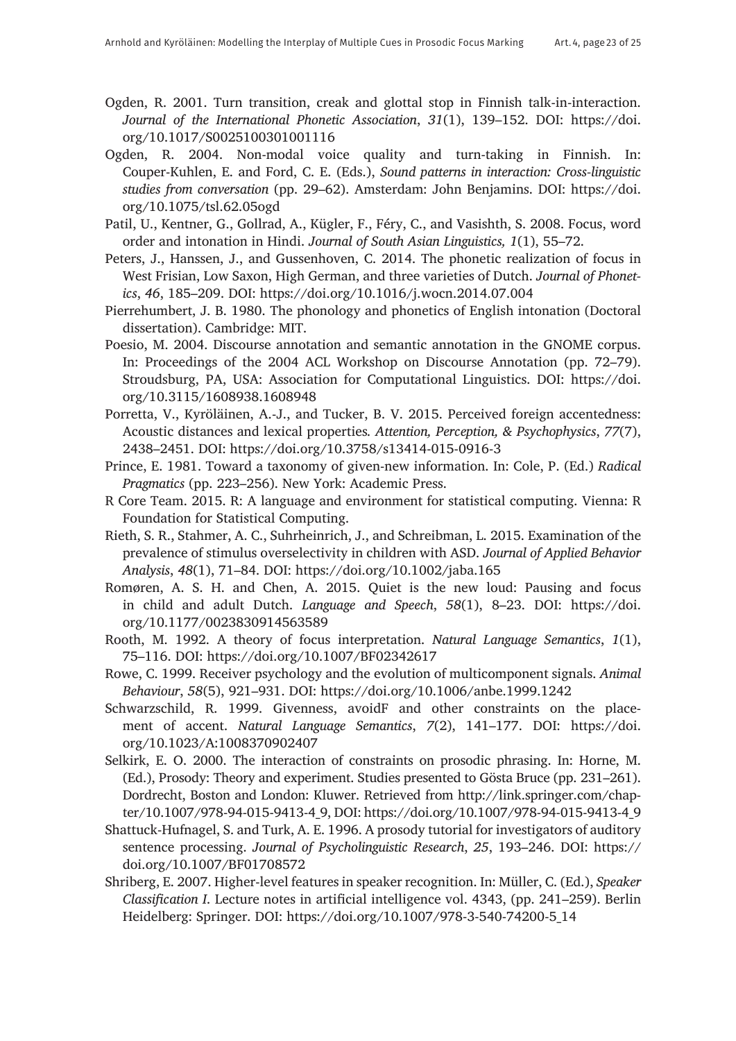- Ogden, R. 2001. Turn transition, creak and glottal stop in Finnish talk-in-interaction. *Journal of the International Phonetic Association*, *31*(1), 139–152. DOI: [https://doi.](https://doi.org/10.1017/S0025100301001116) [org/10.1017/S0025100301001116](https://doi.org/10.1017/S0025100301001116)
- Ogden, R. 2004. Non-modal voice quality and turn-taking in Finnish. In: Couper-Kuhlen, E. and Ford, C. E. (Eds.), *Sound patterns in interaction: Cross-linguistic studies from conversation* (pp. 29–62). Amsterdam: John Benjamins. DOI: [https://doi.](https://doi.org/10.1075/tsl.62.05ogd) [org/10.1075/tsl.62.05ogd](https://doi.org/10.1075/tsl.62.05ogd)
- Patil, U., Kentner, G., Gollrad, A., Kügler, F., Féry, C., and Vasishth, S. 2008. Focus, word order and intonation in Hindi. *Journal of South Asian Linguistics, 1*(1), 55–72.
- Peters, J., Hanssen, J., and Gussenhoven, C. 2014. The phonetic realization of focus in West Frisian, Low Saxon, High German, and three varieties of Dutch. *Journal of Phonetics*, *46*, 185–209. DOI: <https://doi.org/10.1016/j.wocn.2014.07.004>
- Pierrehumbert, J. B. 1980. The phonology and phonetics of English intonation (Doctoral dissertation). Cambridge: MIT.
- Poesio, M. 2004. Discourse annotation and semantic annotation in the GNOME corpus. In: Proceedings of the 2004 ACL Workshop on Discourse Annotation (pp. 72–79). Stroudsburg, PA, USA: Association for Computational Linguistics. DOI: [https://doi.](https://doi.org/10.3115/1608938.1608948) [org/10.3115/1608938.1608948](https://doi.org/10.3115/1608938.1608948)
- Porretta, V., Kyröläinen, A.-J., and Tucker, B. V. 2015. Perceived foreign accentedness: Acoustic distances and lexical properties*. Attention, Perception, & Psychophysics*, *77*(7), 2438–2451. DOI: <https://doi.org/10.3758/s13414-015-0916-3>
- Prince, E. 1981. Toward a taxonomy of given-new information. In: Cole, P. (Ed.) *Radical Pragmatics* (pp. 223–256). New York: Academic Press.
- R Core Team. 2015. R: A language and environment for statistical computing. Vienna: R Foundation for Statistical Computing.
- Rieth, S. R., Stahmer, A. C., Suhrheinrich, J., and Schreibman, L. 2015. Examination of the prevalence of stimulus overselectivity in children with ASD. *Journal of Applied Behavior Analysis*, *48*(1), 71–84. DOI: <https://doi.org/10.1002/jaba.165>
- Romøren, A. S. H. and Chen, A. 2015. Quiet is the new loud: Pausing and focus in child and adult Dutch. *Language and Speech*, *58*(1), 8–23. DOI: [https://doi.](https://doi.org/10.1177/0023830914563589) [org/10.1177/0023830914563589](https://doi.org/10.1177/0023830914563589)
- Rooth, M. 1992. A theory of focus interpretation. *Natural Language Semantics*, *1*(1), 75–116. DOI: <https://doi.org/10.1007/BF02342617>
- Rowe, C. 1999. Receiver psychology and the evolution of multicomponent signals. *Animal Behaviour*, *58*(5), 921–931. DOI: <https://doi.org/10.1006/anbe.1999.1242>
- Schwarzschild, R. 1999. Givenness, avoidF and other constraints on the placement of accent. *Natural Language Semantics*, *7*(2), 141–177. DOI: [https://doi.](https://doi.org/10.1023/A:1008370902407) [org/10.1023/A:1008370902407](https://doi.org/10.1023/A:1008370902407)
- Selkirk, E. O. 2000. The interaction of constraints on prosodic phrasing. In: Horne, M. (Ed.), Prosody: Theory and experiment. Studies presented to Gösta Bruce (pp. 231–261). Dordrecht, Boston and London: Kluwer. Retrieved from [http://link.springer.com/chap](http://link.springer.com/chapter/10.1007/978-94-015-9413-4_9)[ter/10.1007/978-94-015-9413-4\\_9](http://link.springer.com/chapter/10.1007/978-94-015-9413-4_9), DOI: [https://doi.org/10.1007/978-94-015-9413-4\\_9](https://doi.org/10.1007/978-94-015-9413-4_9)
- Shattuck-Hufnagel, S. and Turk, A. E. 1996. A prosody tutorial for investigators of auditory sentence processing. *Journal of Psycholinguistic Research*, *25*, 193–246. DOI: [https://](https://doi.org/10.1007/BF01708572) [doi.org/10.1007/BF01708572](https://doi.org/10.1007/BF01708572)
- Shriberg, E. 2007. Higher-level features in speaker recognition. In: Müller, C. (Ed.), *Speaker Classification I*. Lecture notes in artificial intelligence vol. 4343, (pp. 241–259). Berlin Heidelberg: Springer. DOI: [https://doi.org/10.1007/978-3-540-74200-5\\_14](https://doi.org/10.1007/978-3-540-74200-5_14)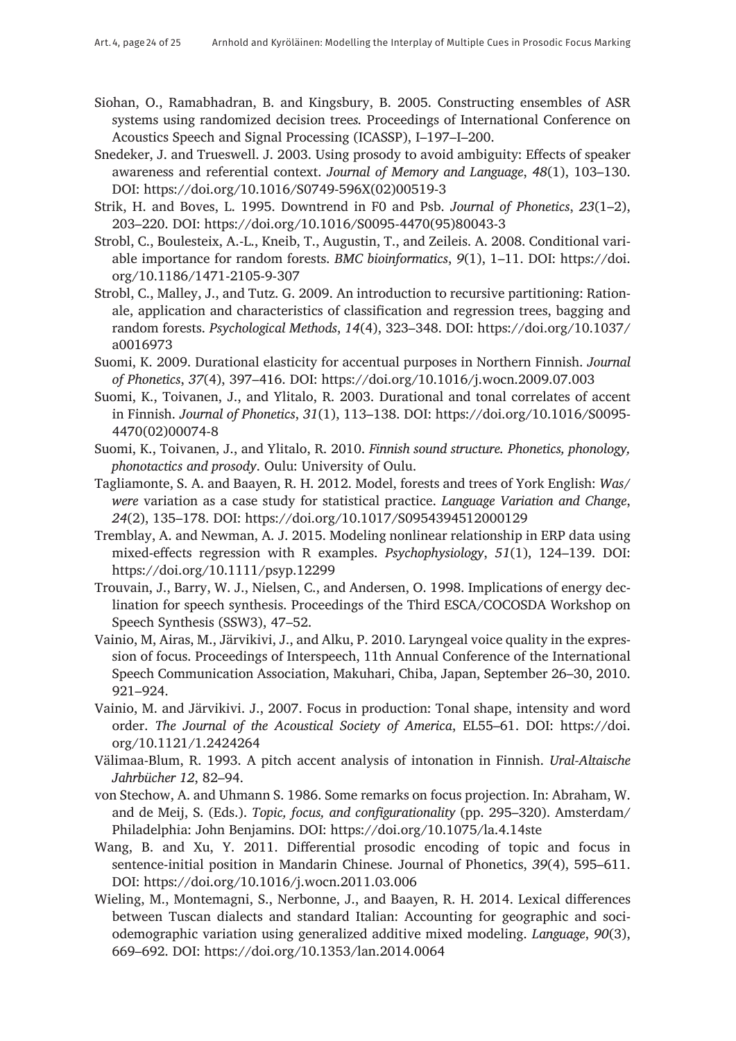- Siohan, O., Ramabhadran, B. and Kingsbury, B. 2005. Constructing ensembles of ASR systems using randomized decision tree*s.* Proceedings of International Conference on Acoustics Speech and Signal Processing (ICASSP), I–197–I–200.
- Snedeker, J. and Trueswell. J. 2003. Using prosody to avoid ambiguity: Effects of speaker awareness and referential context. *Journal of Memory and Language*, *48*(1), 103–130. DOI: [https://doi.org/10.1016/S0749-596X\(02\)00519-3](https://doi.org/10.1016/S0749-596X(02)00519-3)
- Strik, H. and Boves, L. 1995. Downtrend in F0 and Psb. *Journal of Phonetics*, *23*(1–2), 203–220. DOI: [https://doi.org/10.1016/S0095-4470\(95\)80043-3](https://doi.org/10.1016/S0095-4470(95)80043-3)
- Strobl, C., Boulesteix, A.-L., Kneib, T., Augustin, T., and Zeileis. A. 2008. Conditional variable importance for random forests. *BMC bioinformatics*, *9*(1), 1–11. DOI: [https://doi.](https://doi.org/10.1186/1471-2105-9-307) [org/10.1186/1471-2105-9-307](https://doi.org/10.1186/1471-2105-9-307)
- Strobl, C., Malley, J., and Tutz. G. 2009. An introduction to recursive partitioning: Rationale, application and characteristics of classification and regression trees, bagging and random forests. *Psychological Methods*, *14*(4), 323–348. DOI: [https://doi.org/10.1037/](https://doi.org/10.1037/a0016973) [a0016973](https://doi.org/10.1037/a0016973)
- Suomi, K. 2009. Durational elasticity for accentual purposes in Northern Finnish. *Journal of Phonetics*, *37*(4), 397–416. DOI: <https://doi.org/10.1016/j.wocn.2009.07.003>
- Suomi, K., Toivanen, J., and Ylitalo, R. 2003. Durational and tonal correlates of accent in Finnish. *Journal of Phonetics*, *31*(1), 113–138. DOI: [https://doi.org/10.1016/S0095-](https://doi.org/10.1016/S0095-4470(02)00074-8) [4470\(02\)00074-8](https://doi.org/10.1016/S0095-4470(02)00074-8)
- Suomi, K., Toivanen, J., and Ylitalo, R. 2010. *Finnish sound structure. Phonetics, phonology, phonotactics and prosody*. Oulu: University of Oulu.
- Tagliamonte, S. A. and Baayen, R. H. 2012. Model, forests and trees of York English: *Was*/ *were* variation as a case study for statistical practice. *Language Variation and Change*, *24*(2), 135–178. DOI: <https://doi.org/10.1017/S0954394512000129>
- Tremblay, A. and Newman, A. J. 2015. Modeling nonlinear relationship in ERP data using mixed-effects regression with R examples. *Psychophysiology*, *51*(1), 124–139. DOI: <https://doi.org/10.1111/psyp.12299>
- Trouvain, J., Barry, W. J., Nielsen, C., and Andersen, O. 1998. Implications of energy declination for speech synthesis. Proceedings of the Third ESCA/COCOSDA Workshop on Speech Synthesis (SSW3), 47–52.
- Vainio, M, Airas, M., Järvikivi, J., and Alku, P. 2010. Laryngeal voice quality in the expression of focus. Proceedings of Interspeech, 11th Annual Conference of the International Speech Communication Association, Makuhari, Chiba, Japan, September 26–30, 2010. 921–924.
- Vainio, M. and Järvikivi. J., 2007. Focus in production: Tonal shape, intensity and word order. *The Journal of the Acoustical Society of America*, EL55–61. DOI: [https://doi.](https://doi.org/10.1121/1.2424264) [org/10.1121/1.2424264](https://doi.org/10.1121/1.2424264)
- Välimaa-Blum, R. 1993. A pitch accent analysis of intonation in Finnish. *Ural-Altaische Jahrbücher 12*, 82–94.
- von Stechow, A. and Uhmann S. 1986. Some remarks on focus projection. In: Abraham, W. and de Meij, S. (Eds.). *Topic, focus, and configurationality* (pp. 295–320). Amsterdam/ Philadelphia: John Benjamins. DOI: <https://doi.org/10.1075/la.4.14ste>
- Wang, B. and Xu, Y. 2011. Differential prosodic encoding of topic and focus in sentence-initial position in Mandarin Chinese. Journal of Phonetics, *39*(4), 595–611. DOI: <https://doi.org/10.1016/j.wocn.2011.03.006>
- Wieling, M., Montemagni, S., Nerbonne, J., and Baayen, R. H. 2014. Lexical differences between Tuscan dialects and standard Italian: Accounting for geographic and sociodemographic variation using generalized additive mixed modeling. *Language*, *90*(3), 669–692. DOI: <https://doi.org/10.1353/lan.2014.0064>